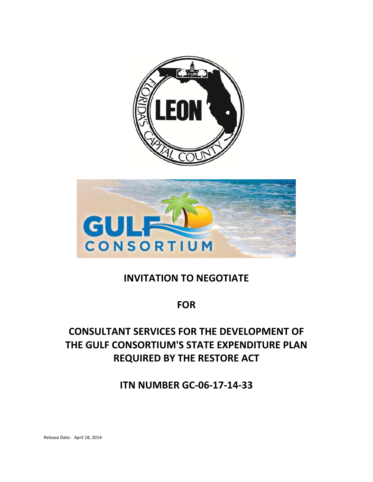



# **INVITATION TO NEGOTIATE**

# **FOR**

# **CONSULTANT SERVICES FOR THE DEVELOPMENT OF THE GULF CONSORTIUM'S STATE EXPENDITURE PLAN REQUIRED BY THE RESTORE ACT**

**ITN NUMBER GC‐06‐17‐14‐33**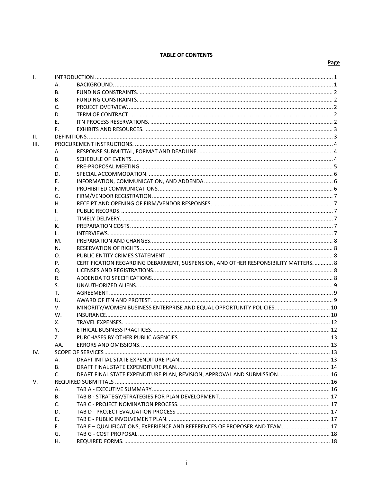#### **TABLE OF CONTENTS**

| I.          |     |                                                                                     |  |  |
|-------------|-----|-------------------------------------------------------------------------------------|--|--|
|             | А.  |                                                                                     |  |  |
|             | В.  |                                                                                     |  |  |
|             | В.  |                                                                                     |  |  |
|             | C.  |                                                                                     |  |  |
|             | D.  |                                                                                     |  |  |
|             | Е.  |                                                                                     |  |  |
|             | F.  |                                                                                     |  |  |
| н.          |     |                                                                                     |  |  |
| III.        |     |                                                                                     |  |  |
|             | А.  |                                                                                     |  |  |
|             | В.  |                                                                                     |  |  |
|             | C.  |                                                                                     |  |  |
|             | D.  |                                                                                     |  |  |
|             | Е.  |                                                                                     |  |  |
|             | F.  |                                                                                     |  |  |
|             | G.  |                                                                                     |  |  |
|             |     |                                                                                     |  |  |
|             | Η.  |                                                                                     |  |  |
|             | I.  |                                                                                     |  |  |
|             | J.  |                                                                                     |  |  |
|             | К.  |                                                                                     |  |  |
|             | L.  |                                                                                     |  |  |
|             | M.  |                                                                                     |  |  |
|             | N.  |                                                                                     |  |  |
|             | Ο.  |                                                                                     |  |  |
|             | Ρ.  | CERTIFICATION REGARDING DEBARMENT, SUSPENSION, AND OTHER RESPONSIBILITY MATTERS.  8 |  |  |
|             | Q.  |                                                                                     |  |  |
|             | R.  |                                                                                     |  |  |
|             | S.  |                                                                                     |  |  |
|             | T.  |                                                                                     |  |  |
|             | U.  |                                                                                     |  |  |
|             | V.  |                                                                                     |  |  |
|             | W.  |                                                                                     |  |  |
|             | х.  |                                                                                     |  |  |
|             | Υ.  |                                                                                     |  |  |
|             | Z.  |                                                                                     |  |  |
|             | AA. |                                                                                     |  |  |
| IV.         |     |                                                                                     |  |  |
|             | А.  |                                                                                     |  |  |
|             | В.  |                                                                                     |  |  |
|             | C.  | DRAFT FINAL STATE EXPENDITURE PLAN, REVISION, APPROVAL AND SUBMISSION.  16          |  |  |
| $V_{\cdot}$ |     |                                                                                     |  |  |
|             | А.  |                                                                                     |  |  |
|             | В.  |                                                                                     |  |  |
|             | C.  |                                                                                     |  |  |
|             | D.  |                                                                                     |  |  |
|             | Ε.  |                                                                                     |  |  |
|             | F.  | TAB F - QUALIFICATIONS, EXPERIENCE AND REFERENCES OF PROPOSER AND TEAM 17           |  |  |
|             | G.  |                                                                                     |  |  |
|             | Н.  |                                                                                     |  |  |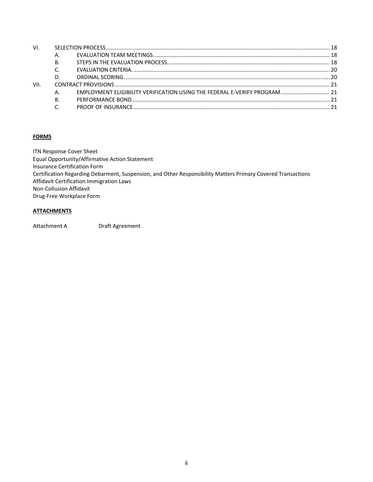| VI.  |    |  |  |
|------|----|--|--|
|      | А. |  |  |
|      | Β. |  |  |
|      |    |  |  |
|      | D. |  |  |
| VII. |    |  |  |
|      |    |  |  |
|      | Β. |  |  |
|      |    |  |  |
|      |    |  |  |

## **FORMS**

ITN Response Cover Sheet Equal Opportunity/Affirmative Action Statement Insurance Certification Form Certification Regarding Debarment, Suspension, and Other Responsibility Matters Primary Covered Transactions Affidavit Certification Immigration Laws Non‐Collusion Affidavit Drug‐Free Workplace Form

## **ATTACHMENTS**

Attachment A **Draft Agreement**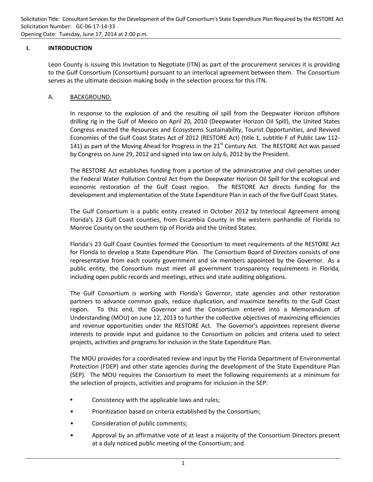### **I. INTRODUCTION**

Leon County is issuing this Invitation to Negotiate (ITN) as part of the procurement services it is providing to the Gulf Consortium (Consortium) pursuant to an interlocal agreement between them. The Consortium serves as the ultimate decision making body in the selection process for this ITN.

## A. BACKGROUND.

In response to the explosion of and the resulting oil spill from the Deepwater Horizon offshore drilling rig in the Gulf of Mexico on April 20, 2010 (Deepwater Horizon Oil Spill), the United States Congress enacted the Resources and Ecosystems Sustainability, Tourist Opportunities, and Revived Economies of the Gulf Coast States Act of 2012 (RESTORE Act) (title 1, subtitle F of Public Law 112‐ 141) as part of the Moving Ahead for Progress in the  $21<sup>st</sup>$  Century Act. The RESTORE Act was passed by Congress on June 29, 2012 and signed into law on July 6, 2012 by the President.

The RESTORE Act establishes funding from a portion of the administrative and civil penalties under the Federal Water Pollution Control Act from the Deepwater Horizon Oil Spill for the ecological and economic restoration of the Gulf Coast region. The RESTORE Act directs funding for the development and implementation of the State Expenditure Plan in each of the five Gulf Coast States.

The Gulf Consortium is a public entity created in October 2012 by Interlocal Agreement among Florida's 23 Gulf Coast counties, from Escambia County in the western panhandle of Florida to Monroe County on the southern tip of Florida and the United States.

Florida's 23 Gulf Coast Counties formed the Consortium to meet requirements of the RESTORE Act for Florida to develop a State Expenditure Plan. The Consortium Board of Directors consists of one representative from each county government and six members appointed by the Governor. As a public entity, the Consortium must meet all government transparency requirements in Florida, including open public records and meetings, ethics and state auditing obligations.

The Gulf Consortium is working with Florida's Governor, state agencies and other restoration partners to advance common goals, reduce duplication, and maximize benefits to the Gulf Coast region. To this end, the Governor and the Consortium entered into a Memorandum of Understanding (MOU) on June 12, 2013 to further the collective objectives of maximizing efficiencies and revenue opportunities under the RESTORE Act. The Governor's appointees represent diverse interests to provide input and guidance to the Consortium on policies and criteria used to select projects, activities and programs for inclusion in the State Expenditure Plan.

The MOU provides for a coordinated review and input by the Florida Department of Environmental Protection (FDEP) and other state agencies during the development of the State Expenditure Plan (SEP). The MOU requires the Consortium to meet the following requirements at a minimum for the selection of projects, activities and programs for inclusion in the SEP:

- Consistency with the applicable laws and rules;
- Prioritization based on criteria established by the Consortium;
- Consideration of public comments;
- Approval by an affirmative vote of at least a majority of the Consortium Directors present at a duly noticed public meeting of the Consortium; and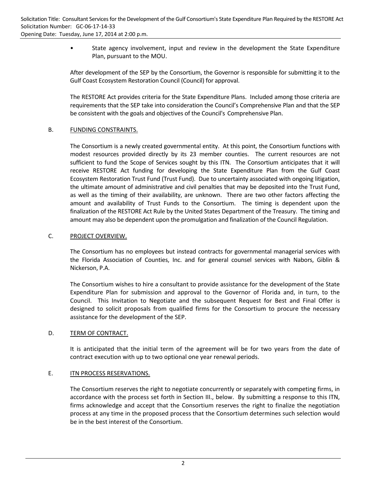• State agency involvement, input and review in the development the State Expenditure Plan, pursuant to the MOU.

After development of the SEP by the Consortium, the Governor is responsible for submitting it to the Gulf Coast Ecosystem Restoration Council (Council) for approval.

The RESTORE Act provides criteria for the State Expenditure Plans. Included among those criteria are requirements that the SEP take into consideration the Council's Comprehensive Plan and that the SEP be consistent with the goals and objectives of the Council's Comprehensive Plan.

## B. FUNDING CONSTRAINTS.

The Consortium is a newly created governmental entity. At this point, the Consortium functions with modest resources provided directly by its 23 member counties. The current resources are not sufficient to fund the Scope of Services sought by this ITN. The Consortium anticipates that it will receive RESTORE Act funding for developing the State Expenditure Plan from the Gulf Coast Ecosystem Restoration Trust Fund (Trust Fund). Due to uncertainty associated with ongoing litigation, the ultimate amount of administrative and civil penalties that may be deposited into the Trust Fund, as well as the timing of their availability, are unknown. There are two other factors affecting the amount and availability of Trust Funds to the Consortium. The timing is dependent upon the finalization of the RESTORE Act Rule by the United States Department of the Treasury. The timing and amount may also be dependent upon the promulgation and finalization of the Council Regulation.

## C. PROJECT OVERVIEW.

The Consortium has no employees but instead contracts for governmental managerial services with the Florida Association of Counties, Inc. and for general counsel services with Nabors, Giblin & Nickerson, P.A.

The Consortium wishes to hire a consultant to provide assistance for the development of the State Expenditure Plan for submission and approval to the Governor of Florida and, in turn, to the Council. This Invitation to Negotiate and the subsequent Request for Best and Final Offer is designed to solicit proposals from qualified firms for the Consortium to procure the necessary assistance for the development of the SEP.

## D. TERM OF CONTRACT.

It is anticipated that the initial term of the agreement will be for two years from the date of contract execution with up to two optional one year renewal periods.

## E. **ITN PROCESS RESERVATIONS.**

The Consortium reserves the right to negotiate concurrently or separately with competing firms, in accordance with the process set forth in Section III., below. By submitting a response to this ITN, firms acknowledge and accept that the Consortium reserves the right to finalize the negotiation process at any time in the proposed process that the Consortium determines such selection would be in the best interest of the Consortium.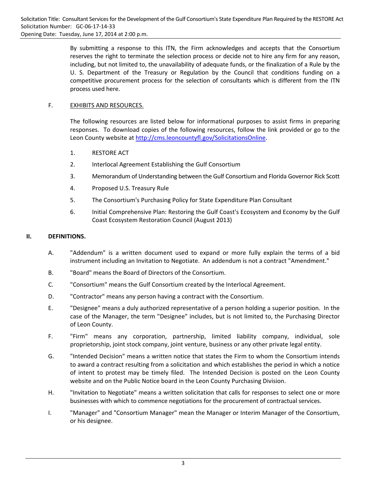By submitting a response to this ITN, the Firm acknowledges and accepts that the Consortium reserves the right to terminate the selection process or decide not to hire any firm for any reason, including, but not limited to, the unavailability of adequate funds, or the finalization of a Rule by the U. S. Department of the Treasury or Regulation by the Council that conditions funding on a competitive procurement process for the selection of consultants which is different from the ITN process used here.

## F. EXHIBITS AND RESOURCES.

The following resources are listed below for informational purposes to assist firms in preparing responses. To download copies of the following resources, follow the link provided or go to the Leon County website at http://cms.leoncountyfl.gov/SolicitationsOnline.

- 1. RESTORE ACT
- 2. Interlocal Agreement Establishing the Gulf Consortium
- 3. Memorandum of Understanding between the Gulf Consortium and Florida Governor Rick Scott
- 4. Proposed U.S. Treasury Rule
- 5. The Consortium's Purchasing Policy for State Expenditure Plan Consultant
- 6. Initial Comprehensive Plan: Restoring the Gulf Coast's Ecosystem and Economy by the Gulf Coast Ecosystem Restoration Council (August 2013)

#### **II. DEFINITIONS.**

- A. "Addendum" is a written document used to expand or more fully explain the terms of a bid instrument including an Invitation to Negotiate. An addendum is not a contract "Amendment."
- B. "Board" means the Board of Directors of the Consortium.
- C. "Consortium" means the Gulf Consortium created by the Interlocal Agreement.
- D. "Contractor" means any person having a contract with the Consortium.
- E. "Designee" means a duly authorized representative of a person holding a superior position. In the case of the Manager, the term "Designee" includes, but is not limited to, the Purchasing Director of Leon County.
- F. "Firm" means any corporation, partnership, limited liability company, individual, sole proprietorship, joint stock company, joint venture, business or any other private legal entity.
- G. "Intended Decision" means a written notice that states the Firm to whom the Consortium intends to award a contract resulting from a solicitation and which establishes the period in which a notice of intent to protest may be timely filed. The Intended Decision is posted on the Leon County website and on the Public Notice board in the Leon County Purchasing Division.
- H. "Invitation to Negotiate" means a written solicitation that calls for responses to select one or more businesses with which to commence negotiations for the procurement of contractual services.
- I. "Manager" and "Consortium Manager" mean the Manager or Interim Manager of the Consortium, or his designee.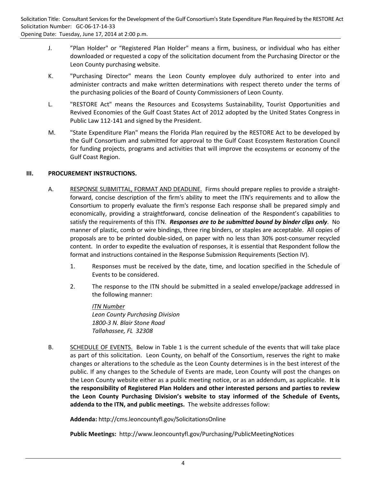- J. "Plan Holder" or "Registered Plan Holder" means a firm, business, or individual who has either downloaded or requested a copy of the solicitation document from the Purchasing Director or the Leon County purchasing website.
- K. "Purchasing Director" means the Leon County employee duly authorized to enter into and administer contracts and make written determinations with respect thereto under the terms of the purchasing policies of the Board of County Commissioners of Leon County.
- L. "RESTORE Act" means the Resources and Ecosystems Sustainability, Tourist Opportunities and Revived Economies of the Gulf Coast States Act of 2012 adopted by the United States Congress in Public Law 112‐141 and signed by the President.
- M. "State Expenditure Plan" means the Florida Plan required by the RESTORE Act to be developed by the Gulf Consortium and submitted for approval to the Gulf Coast Ecosystem Restoration Council for funding projects, programs and activities that will improve the ecosystems or economy of the Gulf Coast Region.

## **III. PROCUREMENT INSTRUCTIONS.**

- A. RESPONSE SUBMITTAL, FORMAT AND DEADLINE. Firms should prepare replies to provide a straight‐ forward, concise description of the firm's ability to meet the ITN's requirements and to allow the Consortium to properly evaluate the firm's response Each response shall be prepared simply and economically, providing a straightforward, concise delineation of the Respondent's capabilities to satisfy the requirements of this ITN. *Responses are to be submitted bound by binder clips only*. No manner of plastic, comb or wire bindings, three ring binders, or staples are acceptable. All copies of proposals are to be printed double‐sided, on paper with no less than 30% post‐consumer recycled content. In order to expedite the evaluation of responses, it is essential that Respondent follow the format and instructions contained in the Response Submission Requirements (Section IV).
	- 1. Responses must be received by the date, time, and location specified in the Schedule of Events to be considered.
	- 2. The response to the ITN should be submitted in a sealed envelope/package addressed in the following manner:

*ITN Number Leon County Purchasing Division 1800‐3 N. Blair Stone Road Tallahassee, FL 32308*

B. SCHEDULE OF EVENTS. Below in Table 1 is the current schedule of the events that will take place as part of this solicitation. Leon County, on behalf of the Consortium, reserves the right to make changes or alterations to the schedule as the Leon County determines is in the best interest of the public. If any changes to the Schedule of Events are made, Leon County will post the changes on the Leon County website either as a public meeting notice, or as an addendum, as applicable. **It is the responsibility of Registered Plan Holders and other interested persons and parties to review the Leon County Purchasing Division's website to stay informed of the Schedule of Events, addenda to the ITN, and public meetings.** The website addresses follow:

**Addenda:** http://cms.leoncountyfl.gov/SolicitationsOnline

**Public Meetings:** http://www.leoncountyfl.gov/Purchasing/PublicMeetingNotices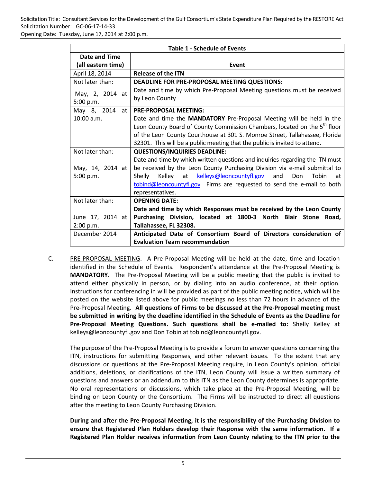Solicitation Title: Consultant Services for the Development of the Gulf Consortium's State Expenditure Plan Required by the RESTORE Act Solicitation Number: GC‐06‐17‐14‐33

Opening Date: Tuesday, June 17, 2014 at 2:00 p.m.

|                      | <b>Table 1 - Schedule of Events</b>                                                   |  |
|----------------------|---------------------------------------------------------------------------------------|--|
| <b>Date and Time</b> |                                                                                       |  |
| (all eastern time)   | Event                                                                                 |  |
| April 18, 2014       | <b>Release of the ITN</b>                                                             |  |
| Not later than:      | DEADLINE FOR PRE-PROPOSAL MEETING QUESTIONS:                                          |  |
| May, 2, 2014 at      | Date and time by which Pre-Proposal Meeting questions must be received                |  |
| 5:00 p.m.            | by Leon County                                                                        |  |
| May 8, 2014<br>at I  | <b>PRE-PROPOSAL MEETING:</b>                                                          |  |
| 10:00 a.m.           | Date and time the MANDATORY Pre-Proposal Meeting will be held in the                  |  |
|                      | Leon County Board of County Commission Chambers, located on the 5 <sup>th</sup> floor |  |
|                      | of the Leon County Courthouse at 301 S. Monroe Street, Tallahassee, Florida           |  |
|                      | 32301. This will be a public meeting that the public is invited to attend.            |  |
| Not later than:      | <b>QUESTIONS/INQUIRIES DEADLINE:</b>                                                  |  |
|                      | Date and time by which written questions and inquiries regarding the ITN must         |  |
| May, 14, 2014 at     | be received by the Leon County Purchasing Division via e-mail submittal to            |  |
| 5:00 p.m.            | Kelley at kelleys@leoncountyfl.gov<br>Shelly<br>Don<br>Tobin<br>and<br>at             |  |
|                      | tobind@leoncountyfl.gov Firms are requested to send the e-mail to both                |  |
|                      | representatives.                                                                      |  |
| Not later than:      | <b>OPENING DATE:</b>                                                                  |  |
|                      | Date and time by which Responses must be received by the Leon County                  |  |
| June 17, 2014 at     | Purchasing Division, located at 1800-3 North Blair Stone<br>Road.                     |  |
| 2:00 p.m.            | Tallahassee, FL 32308.                                                                |  |
| December 2014        | Anticipated Date of Consortium Board of Directors consideration of                    |  |
|                      | <b>Evaluation Team recommendation</b>                                                 |  |

C. PRE‐PROPOSAL MEETING. A Pre‐Proposal Meeting will be held at the date, time and location identified in the Schedule of Events. Respondent's attendance at the Pre-Proposal Meeting is **MANDATORY**. The Pre‐Proposal Meeting will be a public meeting that the public is invited to attend either physically in person, or by dialing into an audio conference, at their option. Instructions for conferencing in will be provided as part of the public meeting notice, which will be posted on the website listed above for public meetings no less than 72 hours in advance of the Pre‐Proposal Meeting. **All questions of Firms to be discussed at the Pre‐Proposal meeting must be submitted in writing by the deadline identified in the Schedule of Events as the Deadline for Pre‐Proposal Meeting Questions. Such questions shall be e‐mailed to:** Shelly Kelley at kelleys@leoncountyfl.gov and Don Tobin at tobind@leoncountyfl.gov.

The purpose of the Pre‐Proposal Meeting is to provide a forum to answer questions concerning the ITN, instructions for submitting Responses, and other relevant issues. To the extent that any discussions or questions at the Pre‐Proposal Meeting require, in Leon County's opinion, official additions, deletions, or clarifications of the ITN, Leon County will issue a written summary of questions and answers or an addendum to this ITN as the Leon County determines is appropriate. No oral representations or discussions, which take place at the Pre‐Proposal Meeting, will be binding on Leon County or the Consortium. The Firms will be instructed to direct all questions after the meeting to Leon County Purchasing Division.

**During and after the Pre‐Proposal Meeting, it is the responsibility of the Purchasing Division to ensure that Registered Plan Holders develop their Response with the same information. If a Registered Plan Holder receives information from Leon County relating to the ITN prior to the**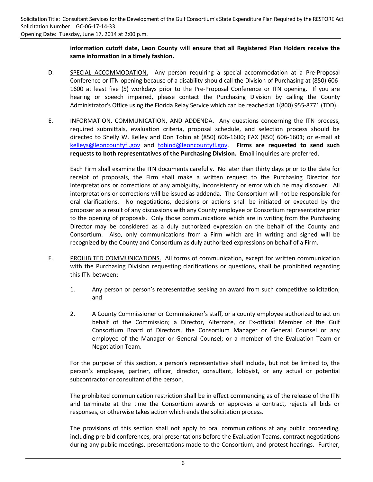## **information cutoff date, Leon County will ensure that all Registered Plan Holders receive the same information in a timely fashion.**

- D. SPECIAL ACCOMMODATION. Any person requiring a special accommodation at a Pre-Proposal Conference or ITN opening because of a disability should call the Division of Purchasing at (850) 606‐ 1600 at least five (5) workdays prior to the Pre-Proposal Conference or ITN opening. If you are hearing or speech impaired, please contact the Purchasing Division by calling the County Administrator's Office using the Florida Relay Service which can be reached at 1(800) 955‐8771 (TDD).
- E. INFORMATION, COMMUNICATION, AND ADDENDA. Any questions concerning the ITN process, required submittals, evaluation criteria, proposal schedule, and selection process should be directed to Shelly W. Kelley and Don Tobin at (850) 606‐1600; FAX (850) 606‐1601; or e‐mail at kelleys@leoncountyfl.gov and tobind@leoncountyfl.gov. **Firms are requested to send such requests to both representatives of the Purchasing Division.** Email inquiries are preferred.

Each Firm shall examine the ITN documents carefully. No later than thirty days prior to the date for receipt of proposals, the Firm shall make a written request to the Purchasing Director for interpretations or corrections of any ambiguity, inconsistency or error which he may discover. All interpretations or corrections will be issued as addenda. The Consortium will not be responsible for oral clarifications. No negotiations, decisions or actions shall be initiated or executed by the proposer as a result of any discussions with any County employee or Consortium representative prior to the opening of proposals. Only those communications which are in writing from the Purchasing Director may be considered as a duly authorized expression on the behalf of the County and Consortium. Also, only communications from a Firm which are in writing and signed will be recognized by the County and Consortium as duly authorized expressions on behalf of a Firm.

- F. PROHIBITED COMMUNICATIONS. All forms of communication, except for written communication with the Purchasing Division requesting clarifications or questions, shall be prohibited regarding this ITN between:
	- 1. Any person or person's representative seeking an award from such competitive solicitation; and
	- 2. A County Commissioner or Commissioner's staff, or a county employee authorized to act on behalf of the Commission; a Director, Alternate, or Ex-official Member of the Gulf Consortium Board of Directors, the Consortium Manager or General Counsel or any employee of the Manager or General Counsel; or a member of the Evaluation Team or Negotiation Team.

For the purpose of this section, a person's representative shall include, but not be limited to, the person's employee, partner, officer, director, consultant, lobbyist, or any actual or potential subcontractor or consultant of the person.

The prohibited communication restriction shall be in effect commencing as of the release of the ITN and terminate at the time the Consortium awards or approves a contract, rejects all bids or responses, or otherwise takes action which ends the solicitation process.

The provisions of this section shall not apply to oral communications at any public proceeding, including pre‐bid conferences, oral presentations before the Evaluation Teams, contract negotiations during any public meetings, presentations made to the Consortium, and protest hearings. Further,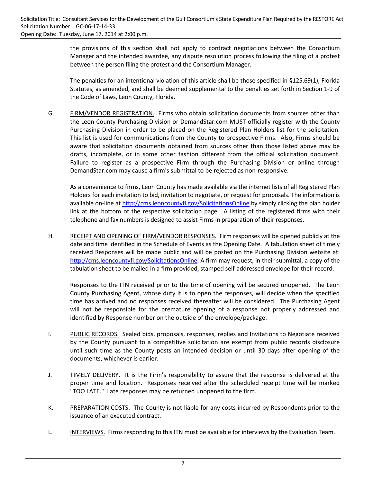the provisions of this section shall not apply to contract negotiations between the Consortium Manager and the intended awardee, any dispute resolution process following the filing of a protest between the person filing the protest and the Consortium Manager.

The penalties for an intentional violation of this article shall be those specified in §125.69(1), Florida Statutes, as amended, and shall be deemed supplemental to the penalties set forth in Section 1‐9 of the Code of Laws, Leon County, Florida.

G. FIRM/VENDOR REGISTRATION. Firms who obtain solicitation documents from sources other than the Leon County Purchasing Division or DemandStar.com MUST officially register with the County Purchasing Division in order to be placed on the Registered Plan Holders list for the solicitation. This list is used for communications from the County to prospective Firms. Also, Firms should be aware that solicitation documents obtained from sources other than those listed above may be drafts, incomplete, or in some other fashion different from the official solicitation document. Failure to register as a prospective Firm through the Purchasing Division or online through DemandStar.com may cause a firm's submittal to be rejected as non‐responsive.

As a convenience to firms, Leon County has made available via the internet lists of all Registered Plan Holders for each invitation to bid, invitation to negotiate, or request for proposals. The information is available on-line at http://cms.leoncountyfl.gov/SolicitationsOnline by simply clicking the plan holder link at the bottom of the respective solicitation page. A listing of the registered firms with their telephone and fax numbers is designed to assist Firms in preparation of their responses.

H. RECEIPT AND OPENING OF FIRM/VENDOR RESPONSES. Firm responses will be opened publicly at the date and time identified in the Schedule of Events as the Opening Date. A tabulation sheet of timely received Responses will be made public and will be posted on the Purchasing Division website at: http://cms.leoncountyfl.gov/SolicitationsOnline. A firm may request, in their submittal, a copy of the tabulation sheet to be mailed in a firm provided, stamped self‐addressed envelope for their record.

Responses to the ITN received prior to the time of opening will be secured unopened. The Leon County Purchasing Agent, whose duty it is to open the responses, will decide when the specified time has arrived and no responses received thereafter will be considered. The Purchasing Agent will not be responsible for the premature opening of a response not properly addressed and identified by Response number on the outside of the envelope/package.

- I. PUBLIC RECORDS. Sealed bids, proposals, responses, replies and Invitations to Negotiate received by the County pursuant to a competitive solicitation are exempt from public records disclosure until such time as the County posts an intended decision or until 30 days after opening of the documents, whichever is earlier.
- J. TIMELY DELIVERY. It is the Firm's responsibility to assure that the response is delivered at the proper time and location. Responses received after the scheduled receipt time will be marked "TOO LATE." Late responses may be returned unopened to the firm.
- K. PREPARATION COSTS. The County is not liable for any costs incurred by Respondents prior to the issuance of an executed contract.
- L. INTERVIEWS. Firms responding to this ITN must be available for interviews by the Evaluation Team.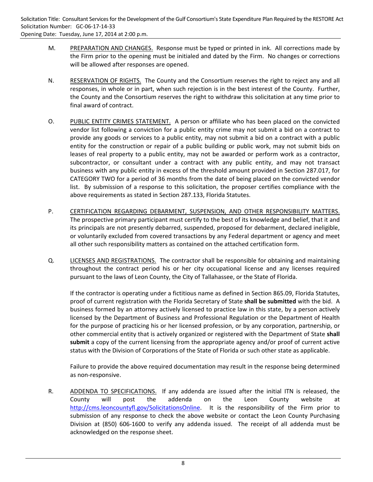- M. PREPARATION AND CHANGES. Response must be typed or printed in ink. All corrections made by the Firm prior to the opening must be initialed and dated by the Firm. No changes or corrections will be allowed after responses are opened.
- N. RESERVATION OF RIGHTS. The County and the Consortium reserves the right to reject any and all responses, in whole or in part, when such rejection is in the best interest of the County. Further, the County and the Consortium reserves the right to withdraw this solicitation at any time prior to final award of contract.
- O. PUBLIC ENTITY CRIMES STATEMENT. A person or affiliate who has been placed on the convicted vendor list following a conviction for a public entity crime may not submit a bid on a contract to provide any goods or services to a public entity, may not submit a bid on a contract with a public entity for the construction or repair of a public building or public work, may not submit bids on leases of real property to a public entity, may not be awarded or perform work as a contractor, subcontractor, or consultant under a contract with any public entity, and may not transact business with any public entity in excess of the threshold amount provided in Section 287.017, for CATEGORY TWO for a period of 36 months from the date of being placed on the convicted vendor list. By submission of a response to this solicitation, the proposer certifies compliance with the above requirements as stated in Section 287.133, Florida Statutes.
- P. CERTIFICATION REGARDING DEBARMENT, SUSPENSION, AND OTHER RESPONSIBILITY MATTERS. The prospective primary participant must certify to the best of its knowledge and belief, that it and its principals are not presently debarred, suspended, proposed for debarment, declared ineligible, or voluntarily excluded from covered transactions by any Federal department or agency and meet all other such responsibility matters as contained on the attached certification form.
- Q. LICENSES AND REGISTRATIONS. The contractor shall be responsible for obtaining and maintaining throughout the contract period his or her city occupational license and any licenses required pursuant to the laws of Leon County, the City of Tallahassee, or the State of Florida.

If the contractor is operating under a fictitious name as defined in Section 865.09, Florida Statutes, proof of current registration with the Florida Secretary of State **shall be submitted** with the bid. A business formed by an attorney actively licensed to practice law in this state, by a person actively licensed by the Department of Business and Professional Regulation or the Department of Health for the purpose of practicing his or her licensed profession, or by any corporation, partnership, or other commercial entity that is actively organized or registered with the Department of State **shall submit** a copy of the current licensing from the appropriate agency and/or proof of current active status with the Division of Corporations of the State of Florida or such other state as applicable.

Failure to provide the above required documentation may result in the response being determined as non‐responsive.

R. ADDENDA TO SPECIFICATIONS. If any addenda are issued after the initial ITN is released, the County will post the addenda on the Leon County website at http://cms.leoncountyfl.gov/SolicitationsOnline. It is the responsibility of the Firm prior to submission of any response to check the above website or contact the Leon County Purchasing Division at (850) 606‐1600 to verify any addenda issued. The receipt of all addenda must be acknowledged on the response sheet.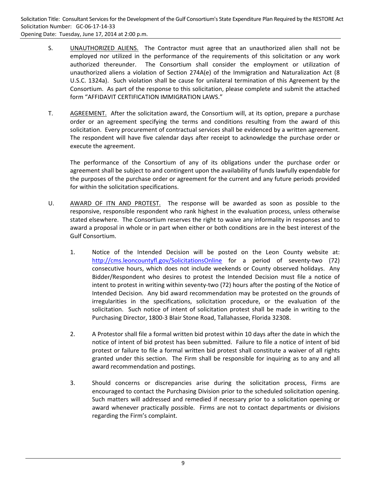- S. **UNAUTHORIZED ALIENS.** The Contractor must agree that an unauthorized alien shall not be employed nor utilized in the performance of the requirements of this solicitation or any work authorized thereunder. The Consortium shall consider the employment or utilization of unauthorized aliens a violation of Section 274A(e) of the Immigration and Naturalization Act (8 U.S.C. 1324a). Such violation shall be cause for unilateral termination of this Agreement by the Consortium. As part of the response to this solicitation, please complete and submit the attached form "AFFIDAVIT CERTIFICATION IMMIGRATION LAWS."
- T. AGREEMENT. After the solicitation award, the Consortium will, at its option, prepare a purchase order or an agreement specifying the terms and conditions resulting from the award of this solicitation. Every procurement of contractual services shall be evidenced by a written agreement. The respondent will have five calendar days after receipt to acknowledge the purchase order or execute the agreement.

The performance of the Consortium of any of its obligations under the purchase order or agreement shall be subject to and contingent upon the availability of funds lawfully expendable for the purposes of the purchase order or agreement for the current and any future periods provided for within the solicitation specifications.

- U. AWARD OF ITN AND PROTEST. The response will be awarded as soon as possible to the responsive, responsible respondent who rank highest in the evaluation process, unless otherwise stated elsewhere. The Consortium reserves the right to waive any informality in responses and to award a proposal in whole or in part when either or both conditions are in the best interest of the Gulf Consortium.
	- 1. Notice of the Intended Decision will be posted on the Leon County website at: http://cms.leoncountyfl.gov/SolicitationsOnline for a period of seventy-two (72) consecutive hours, which does not include weekends or County observed holidays. Any Bidder/Respondent who desires to protest the Intended Decision must file a notice of intent to protest in writing within seventy-two (72) hours after the posting of the Notice of Intended Decision. Any bid award recommendation may be protested on the grounds of irregularities in the specifications, solicitation procedure, or the evaluation of the solicitation. Such notice of intent of solicitation protest shall be made in writing to the Purchasing Director, 1800‐3 Blair Stone Road, Tallahassee, Florida 32308.
	- 2. A Protestor shall file a formal written bid protest within 10 days after the date in which the notice of intent of bid protest has been submitted. Failure to file a notice of intent of bid protest or failure to file a formal written bid protest shall constitute a waiver of all rights granted under this section. The Firm shall be responsible for inquiring as to any and all award recommendation and postings.
	- 3. Should concerns or discrepancies arise during the solicitation process, Firms are encouraged to contact the Purchasing Division prior to the scheduled solicitation opening. Such matters will addressed and remedied if necessary prior to a solicitation opening or award whenever practically possible. Firms are not to contact departments or divisions regarding the Firm's complaint.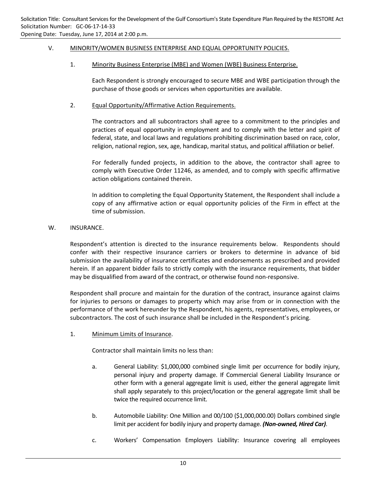## V. MINORITY/WOMEN BUSINESS ENTERPRISE AND EQUAL OPPORTUNITY POLICIES.

## 1. Minority Business Enterprise (MBE) and Women (WBE) Business Enterprise.

Each Respondent is strongly encouraged to secure MBE and WBE participation through the purchase of those goods or services when opportunities are available.

## 2. Equal Opportunity/Affirmative Action Requirements.

The contractors and all subcontractors shall agree to a commitment to the principles and practices of equal opportunity in employment and to comply with the letter and spirit of federal, state, and local laws and regulations prohibiting discrimination based on race, color, religion, national region, sex, age, handicap, marital status, and political affiliation or belief.

For federally funded projects, in addition to the above, the contractor shall agree to comply with Executive Order 11246, as amended, and to comply with specific affirmative action obligations contained therein.

In addition to completing the Equal Opportunity Statement, the Respondent shall include a copy of any affirmative action or equal opportunity policies of the Firm in effect at the time of submission.

#### W. **INSURANCE.**

Respondent's attention is directed to the insurance requirements below. Respondents should confer with their respective insurance carriers or brokers to determine in advance of bid submission the availability of insurance certificates and endorsements as prescribed and provided herein. If an apparent bidder fails to strictly comply with the insurance requirements, that bidder may be disqualified from award of the contract, or otherwise found non‐responsive.

Respondent shall procure and maintain for the duration of the contract, insurance against claims for injuries to persons or damages to property which may arise from or in connection with the performance of the work hereunder by the Respondent, his agents, representatives, employees, or subcontractors. The cost of such insurance shall be included in the Respondent's pricing.

1. Minimum Limits of Insurance.

Contractor shall maintain limits no less than:

- a. General Liability: \$1,000,000 combined single limit per occurrence for bodily injury, personal injury and property damage. If Commercial General Liability Insurance or other form with a general aggregate limit is used, either the general aggregate limit shall apply separately to this project/location or the general aggregate limit shall be twice the required occurrence limit.
- b. Automobile Liability: One Million and 00/100 (\$1,000,000.00) Dollars combined single limit per accident for bodily injury and property damage. *(Non‐owned, Hired Car)*.
- c. Workers' Compensation Employers Liability: Insurance covering all employees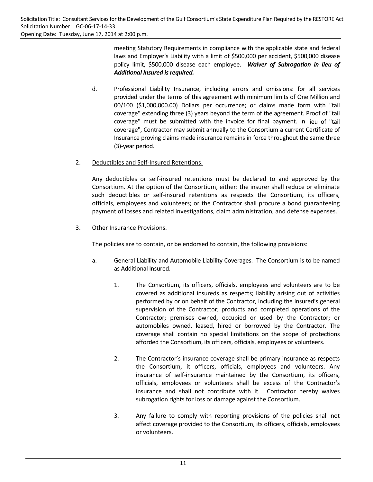meeting Statutory Requirements in compliance with the applicable state and federal laws and Employer's Liability with a limit of \$500,000 per accident, \$500,000 disease policy limit, \$500,000 disease each employee. *Waiver of Subrogation in lieu of Additional Insured isrequired.* 

d. Professional Liability Insurance, including errors and omissions: for all services provided under the terms of this agreement with minimum limits of One Million and 00/100 (\$1,000,000.00) Dollars per occurrence; or claims made form with "tail coverage" extending three (3) years beyond the term of the agreement. Proof of "tail coverage" must be submitted with the invoice for final payment. In lieu of "tail coverage", Contractor may submit annually to the Consortium a current Certificate of Insurance proving claims made insurance remains in force throughout the same three (3)‐year period.

## 2. Deductibles and Self‐Insured Retentions.

Any deductibles or self‐insured retentions must be declared to and approved by the Consortium. At the option of the Consortium, either: the insurer shall reduce or eliminate such deductibles or self-insured retentions as respects the Consortium, its officers, officials, employees and volunteers; or the Contractor shall procure a bond guaranteeing payment of losses and related investigations, claim administration, and defense expenses.

3. Other Insurance Provisions.

The policies are to contain, or be endorsed to contain, the following provisions:

- a. General Liability and Automobile Liability Coverages. The Consortium is to be named as Additional Insured.
	- 1. The Consortium, its officers, officials, employees and volunteers are to be covered as additional insureds as respects; liability arising out of activities performed by or on behalf of the Contractor, including the insured's general supervision of the Contractor; products and completed operations of the Contractor; premises owned, occupied or used by the Contractor; or automobiles owned, leased, hired or borrowed by the Contractor. The coverage shall contain no special limitations on the scope of protections afforded the Consortium, its officers, officials, employees or volunteers.
	- 2. The Contractor's insurance coverage shall be primary insurance as respects the Consortium, it officers, officials, employees and volunteers. Any insurance of self‐insurance maintained by the Consortium, its officers, officials, employees or volunteers shall be excess of the Contractor's insurance and shall not contribute with it. Contractor hereby waives subrogation rights for loss or damage against the Consortium.
	- 3. Any failure to comply with reporting provisions of the policies shall not affect coverage provided to the Consortium, its officers, officials, employees or volunteers.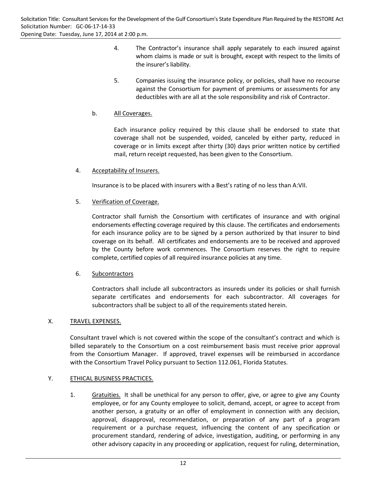- 4. The Contractor's insurance shall apply separately to each insured against whom claims is made or suit is brought, except with respect to the limits of the insurer's liability.
- 5. Companies issuing the insurance policy, or policies, shall have no recourse against the Consortium for payment of premiums or assessments for any deductibles with are all at the sole responsibility and risk of Contractor.

## b. All Coverages.

Each insurance policy required by this clause shall be endorsed to state that coverage shall not be suspended, voided, canceled by either party, reduced in coverage or in limits except after thirty (30) days prior written notice by certified mail, return receipt requested, has been given to the Consortium.

## 4. Acceptability of Insurers.

Insurance is to be placed with insurers with a Best's rating of no less than A:VII.

## 5. Verification of Coverage.

Contractor shall furnish the Consortium with certificates of insurance and with original endorsements effecting coverage required by this clause. The certificates and endorsements for each insurance policy are to be signed by a person authorized by that insurer to bind coverage on its behalf. All certificates and endorsements are to be received and approved by the County before work commences. The Consortium reserves the right to require complete, certified copies of all required insurance policies at any time.

## 6. Subcontractors

Contractors shall include all subcontractors as insureds under its policies or shall furnish separate certificates and endorsements for each subcontractor. All coverages for subcontractors shall be subject to all of the requirements stated herein.

## X. TRAVEL EXPENSES.

Consultant travel which is not covered within the scope of the consultant's contract and which is billed separately to the Consortium on a cost reimbursement basis must receive prior approval from the Consortium Manager. If approved, travel expenses will be reimbursed in accordance with the Consortium Travel Policy pursuant to Section 112.061, Florida Statutes.

## Y. ETHICAL BUSINESS PRACTICES.

1. Gratuities. It shall be unethical for any person to offer, give, or agree to give any County employee, or for any County employee to solicit, demand, accept, or agree to accept from another person, a gratuity or an offer of employment in connection with any decision, approval, disapproval, recommendation, or preparation of any part of a program requirement or a purchase request, influencing the content of any specification or procurement standard, rendering of advice, investigation, auditing, or performing in any other advisory capacity in any proceeding or application, request for ruling, determination,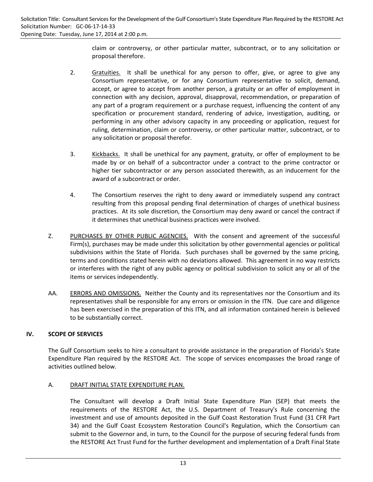claim or controversy, or other particular matter, subcontract, or to any solicitation or proposal therefore.

- 2. Gratuities. It shall be unethical for any person to offer, give, or agree to give any Consortium representative, or for any Consortium representative to solicit, demand, accept, or agree to accept from another person, a gratuity or an offer of employment in connection with any decision, approval, disapproval, recommendation, or preparation of any part of a program requirement or a purchase request, influencing the content of any specification or procurement standard, rendering of advice, investigation, auditing, or performing in any other advisory capacity in any proceeding or application, request for ruling, determination, claim or controversy, or other particular matter, subcontract, or to any solicitation or proposal therefor.
- 3. Kickbacks. It shall be unethical for any payment, gratuity, or offer of employment to be made by or on behalf of a subcontractor under a contract to the prime contractor or higher tier subcontractor or any person associated therewith, as an inducement for the award of a subcontract or order.
- 4. The Consortium reserves the right to deny award or immediately suspend any contract resulting from this proposal pending final determination of charges of unethical business practices. At its sole discretion, the Consortium may deny award or cancel the contract if it determines that unethical business practices were involved.
- Z. PURCHASES BY OTHER PUBLIC AGENCIES. With the consent and agreement of the successful Firm(s), purchases may be made under this solicitation by other governmental agencies or political subdivisions within the State of Florida. Such purchases shall be governed by the same pricing, terms and conditions stated herein with no deviations allowed. This agreement in no way restricts or interferes with the right of any public agency or political subdivision to solicit any or all of the items or services independently.
- AA. ERRORS AND OMISSIONS. Neither the County and its representatives nor the Consortium and its representatives shall be responsible for any errors or omission in the ITN. Due care and diligence has been exercised in the preparation of this ITN, and all information contained herein is believed to be substantially correct.

## **IV. SCOPE OF SERVICES**

The Gulf Consortium seeks to hire a consultant to provide assistance in the preparation of Florida's State Expenditure Plan required by the RESTORE Act. The scope of services encompasses the broad range of activities outlined below.

#### A. DRAFT INITIAL STATE EXPENDITURE PLAN.

The Consultant will develop a Draft Initial State Expenditure Plan (SEP) that meets the requirements of the RESTORE Act, the U.S. Department of Treasury's Rule concerning the investment and use of amounts deposited in the Gulf Coast Restoration Trust Fund (31 CFR Part 34) and the Gulf Coast Ecosystem Restoration Council's Regulation, which the Consortium can submit to the Governor and, in turn, to the Council for the purpose of securing federal funds from the RESTORE Act Trust Fund for the further development and implementation of a Draft Final State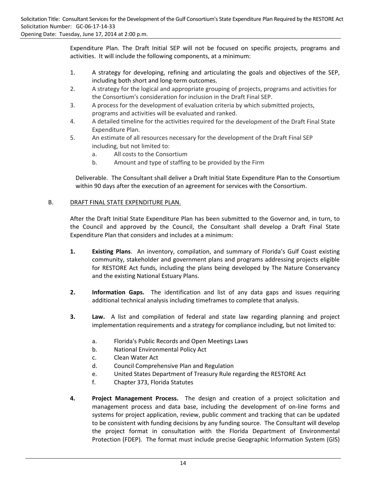Expenditure Plan. The Draft Initial SEP will not be focused on specific projects, programs and activities. It will include the following components, at a minimum:

- 1. A strategy for developing, refining and articulating the goals and objectives of the SEP, including both short and long‐term outcomes.
- 2. A strategy for the logical and appropriate grouping of projects, programs and activities for the Consortium's consideration for inclusion in the Draft Final SEP.
- 3. A process for the development of evaluation criteria by which submitted projects, programs and activities will be evaluated and ranked.
- 4. A detailed timeline for the activities required for the development of the Draft Final State Expenditure Plan.
- 5. An estimate of all resources necessary for the development of the Draft Final SEP including, but not limited to:
	- a. All costs to the Consortium
	- b. Amount and type of staffing to be provided by the Firm

Deliverable. The Consultant shall deliver a Draft Initial State Expenditure Plan to the Consortium within 90 days after the execution of an agreement for services with the Consortium.

## B. DRAFT FINAL STATE EXPENDITURE PLAN.

After the Draft Initial State Expenditure Plan has been submitted to the Governor and, in turn, to the Council and approved by the Council, the Consultant shall develop a Draft Final State Expenditure Plan that considers and includes at a minimum:

- **1. Existing Plans**. An inventory, compilation, and summary of Florida's Gulf Coast existing community, stakeholder and government plans and programs addressing projects eligible for RESTORE Act funds, including the plans being developed by The Nature Conservancy and the existing National Estuary Plans.
- **2. Information Gaps.**  The identification and list of any data gaps and issues requiring additional technical analysis including timeframes to complete that analysis.
- **3. Law.** A list and compilation of federal and state law regarding planning and project implementation requirements and a strategy for compliance including, but not limited to:
	- a. Florida's Public Records and Open Meetings Laws
	- b. National Environmental Policy Act
	- c. Clean Water Act
	- d. Council Comprehensive Plan and Regulation
	- e. United States Department of Treasury Rule regarding the RESTORE Act
	- f. Chapter 373, Florida Statutes
- **4. Project Management Process.**  The design and creation of a project solicitation and management process and data base, including the development of on‐line forms and systems for project application, review, public comment and tracking that can be updated to be consistent with funding decisions by any funding source. The Consultant will develop the project format in consultation with the Florida Department of Environmental Protection (FDEP). The format must include precise Geographic Information System (GIS)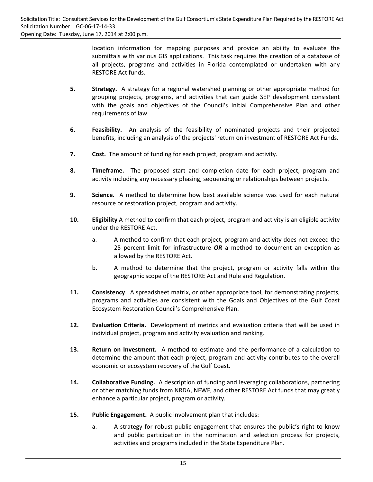location information for mapping purposes and provide an ability to evaluate the submittals with various GIS applications. This task requires the creation of a database of all projects, programs and activities in Florida contemplated or undertaken with any RESTORE Act funds.

- **5. Strategy.** A strategy for a regional watershed planning or other appropriate method for grouping projects, programs, and activities that can guide SEP development consistent with the goals and objectives of the Council's Initial Comprehensive Plan and other requirements of law.
- **6. Feasibility.** An analysis of the feasibility of nominated projects and their projected benefits, including an analysis of the projects' return on investment of RESTORE Act Funds.
- **7. Cost.** The amount of funding for each project, program and activity.
- **8. Timeframe.**  The proposed start and completion date for each project, program and activity including any necessary phasing, sequencing or relationships between projects.
- **9. Science.** A method to determine how best available science was used for each natural resource or restoration project, program and activity.
- **10. Eligibility** A method to confirm that each project, program and activity is an eligible activity under the RESTORE Act.
	- a. A method to confirm that each project, program and activity does not exceed the 25 percent limit for infrastructure *OR* a method to document an exception as allowed by the RESTORE Act.
	- b. A method to determine that the project, program or activity falls within the geographic scope of the RESTORE Act and Rule and Regulation.
- **11. Consistency**. A spreadsheet matrix, or other appropriate tool, for demonstrating projects, programs and activities are consistent with the Goals and Objectives of the Gulf Coast Ecosystem Restoration Council's Comprehensive Plan.
- **12. Evaluation Criteria.** Development of metrics and evaluation criteria that will be used in individual project, program and activity evaluation and ranking.
- **13. Return on Investment.** A method to estimate and the performance of a calculation to determine the amount that each project, program and activity contributes to the overall economic or ecosystem recovery of the Gulf Coast.
- **14. Collaborative Funding.** A description of funding and leveraging collaborations, partnering or other matching funds from NRDA, NFWF, and other RESTORE Act funds that may greatly enhance a particular project, program or activity.
- **15. Public Engagement.** A public involvement plan that includes:
	- a. A strategy for robust public engagement that ensures the public's right to know and public participation in the nomination and selection process for projects, activities and programs included in the State Expenditure Plan.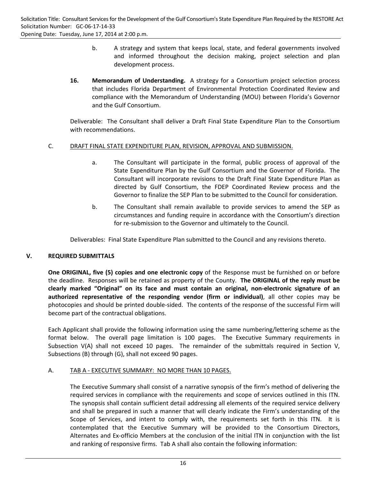- b. A strategy and system that keeps local, state, and federal governments involved and informed throughout the decision making, project selection and plan development process.
- **16. Memorandum of Understanding.** A strategy for a Consortium project selection process that includes Florida Department of Environmental Protection Coordinated Review and compliance with the Memorandum of Understanding (MOU) between Florida's Governor and the Gulf Consortium.

Deliverable: The Consultant shall deliver a Draft Final State Expenditure Plan to the Consortium with recommendations.

#### C. DRAFT FINAL STATE EXPENDITURE PLAN, REVISION, APPROVAL AND SUBMISSION.

- a. The Consultant will participate in the formal, public process of approval of the State Expenditure Plan by the Gulf Consortium and the Governor of Florida. The Consultant will incorporate revisions to the Draft Final State Expenditure Plan as directed by Gulf Consortium, the FDEP Coordinated Review process and the Governor to finalize the SEP Plan to be submitted to the Council for consideration.
- b. The Consultant shall remain available to provide services to amend the SEP as circumstances and funding require in accordance with the Consortium's direction for re-submission to the Governor and ultimately to the Council.

Deliverables: Final State Expenditure Plan submitted to the Council and any revisions thereto.

## **V. REQUIRED SUBMITTALS**

**One ORIGINAL, five (5) copies and one electronic copy** of the Response must be furnished on or before the deadline. Responses will be retained as property of the County. **The ORIGINAL of the reply must be clearly marked "Original" on its face and must contain an original, non‐electronic signature of an authorized representative of the responding vendor (firm or individual)**, all other copies may be photocopies and should be printed double‐sided. The contents of the response of the successful Firm will become part of the contractual obligations.

Each Applicant shall provide the following information using the same numbering/lettering scheme as the format below. The overall page limitation is 100 pages. The Executive Summary requirements in Subsection V(A) shall not exceed 10 pages. The remainder of the submittals required in Section V, Subsections (B) through (G), shall not exceed 90 pages.

#### A. TAB A ‐ EXECUTIVE SUMMARY: NO MORE THAN 10 PAGES.

The Executive Summary shall consist of a narrative synopsis of the firm's method of delivering the required services in compliance with the requirements and scope of services outlined in this ITN. The synopsis shall contain sufficient detail addressing all elements of the required service delivery and shall be prepared in such a manner that will clearly indicate the Firm's understanding of the Scope of Services, and intent to comply with, the requirements set forth in this ITN. It is contemplated that the Executive Summary will be provided to the Consortium Directors, Alternates and Ex‐officio Members at the conclusion of the initial ITN in conjunction with the list and ranking of responsive firms. Tab A shall also contain the following information: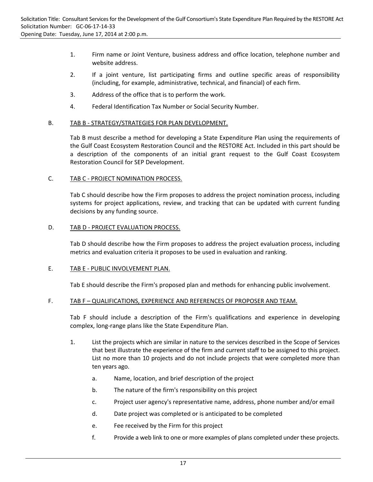- 1. Firm name or Joint Venture, business address and office location, telephone number and website address.
- 2. If a joint venture, list participating firms and outline specific areas of responsibility (including, for example, administrative, technical, and financial) of each firm.
- 3. Address of the office that is to perform the work.
- 4. Federal Identification Tax Number or Social Security Number.

#### B. TAB B - STRATEGY/STRATEGIES FOR PLAN DEVELOPMENT.

Tab B must describe a method for developing a State Expenditure Plan using the requirements of the Gulf Coast Ecosystem Restoration Council and the RESTORE Act. Included in this part should be a description of the components of an initial grant request to the Gulf Coast Ecosystem Restoration Council for SEP Development.

#### C. TAB C - PROJECT NOMINATION PROCESS.

Tab C should describe how the Firm proposes to address the project nomination process, including systems for project applications, review, and tracking that can be updated with current funding decisions by any funding source.

#### D. TAB D - PROJECT EVALUATION PROCESS.

Tab D should describe how the Firm proposes to address the project evaluation process, including metrics and evaluation criteria it proposes to be used in evaluation and ranking.

#### E. TAB E - PUBLIC INVOLVEMENT PLAN.

Tab E should describe the Firm's proposed plan and methods for enhancing public involvement.

#### F. TAB F – QUALIFICATIONS, EXPERIENCE AND REFERENCES OF PROPOSER AND TEAM.

Tab F should include a description of the Firm's qualifications and experience in developing complex, long‐range plans like the State Expenditure Plan.

- 1. List the projects which are similar in nature to the services described in the Scope of Services that best illustrate the experience of the firm and current staff to be assigned to this project. List no more than 10 projects and do not include projects that were completed more than ten years ago.
	- a. Name, location, and brief description of the project
	- b. The nature of the firm's responsibility on this project
	- c. Project user agency's representative name, address, phone number and/or email
	- d. Date project was completed or is anticipated to be completed
	- e. Fee received by the Firm for this project
	- f. Provide a web link to one or more examples of plans completed under these projects.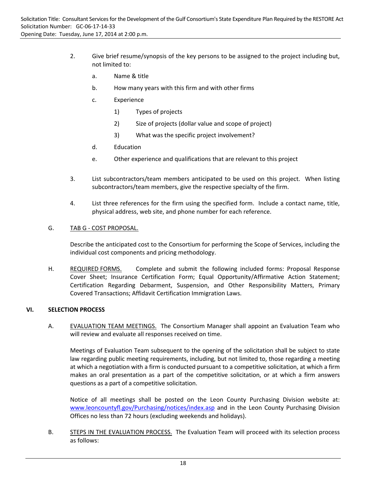- 2. Give brief resume/synopsis of the key persons to be assigned to the project including but, not limited to:
	- a. Name & title
	- b. How many years with this firm and with other firms
	- c. Experience
		- 1) Types of projects
		- 2) Size of projects (dollar value and scope of project)
		- 3) What was the specific project involvement?
	- d. Education
	- e. Other experience and qualifications that are relevant to this project
- 3. List subcontractors/team members anticipated to be used on this project. When listing subcontractors/team members, give the respective specialty of the firm.
- 4. List three references for the firm using the specified form. Include a contact name, title, physical address, web site, and phone number for each reference.

## G. TAB G ‐ COST PROPOSAL.

Describe the anticipated cost to the Consortium for performing the Scope of Services, including the individual cost components and pricing methodology.

H. REQUIRED FORMS. Complete and submit the following included forms: Proposal Response Cover Sheet; Insurance Certification Form; Equal Opportunity/Affirmative Action Statement; Certification Regarding Debarment, Suspension, and Other Responsibility Matters, Primary Covered Transactions; Affidavit Certification Immigration Laws.

#### **VI. SELECTION PROCESS**

A. EVALUATION TEAM MEETINGS. The Consortium Manager shall appoint an Evaluation Team who will review and evaluate all responses received on time.

Meetings of Evaluation Team subsequent to the opening of the solicitation shall be subject to state law regarding public meeting requirements, including, but not limited to, those regarding a meeting at which a negotiation with a firm is conducted pursuant to a competitive solicitation, at which a firm makes an oral presentation as a part of the competitive solicitation, or at which a firm answers questions as a part of a competitive solicitation.

Notice of all meetings shall be posted on the Leon County Purchasing Division website at: www.leoncountyfl.gov/Purchasing/notices/index.asp and in the Leon County Purchasing Division Offices no less than 72 hours (excluding weekends and holidays).

B. STEPS IN THE EVALUATION PROCESS. The Evaluation Team will proceed with its selection process as follows: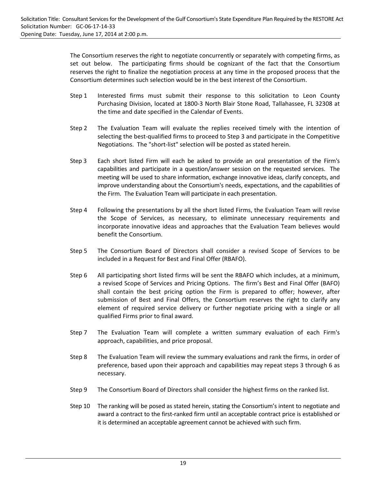The Consortium reserves the right to negotiate concurrently or separately with competing firms, as set out below. The participating firms should be cognizant of the fact that the Consortium reserves the right to finalize the negotiation process at any time in the proposed process that the Consortium determines such selection would be in the best interest of the Consortium.

- Step 1 Interested firms must submit their response to this solicitation to Leon County Purchasing Division, located at 1800‐3 North Blair Stone Road, Tallahassee, FL 32308 at the time and date specified in the Calendar of Events.
- Step 2 The Evaluation Team will evaluate the replies received timely with the intention of selecting the best-qualified firms to proceed to Step 3 and participate in the Competitive Negotiations. The "short‐list" selection will be posted as stated herein.
- Step 3 Each short listed Firm will each be asked to provide an oral presentation of the Firm's capabilities and participate in a question/answer session on the requested services. The meeting will be used to share information, exchange innovative ideas, clarify concepts, and improve understanding about the Consortium's needs, expectations, and the capabilities of the Firm. The Evaluation Team will participate in each presentation.
- Step 4 Following the presentations by all the short listed Firms, the Evaluation Team will revise the Scope of Services, as necessary, to eliminate unnecessary requirements and incorporate innovative ideas and approaches that the Evaluation Team believes would benefit the Consortium.
- Step 5 The Consortium Board of Directors shall consider a revised Scope of Services to be included in a Request for Best and Final Offer (RBAFO).
- Step 6 All participating short listed firms will be sent the RBAFO which includes, at a minimum, a revised Scope of Services and Pricing Options. The firm's Best and Final Offer (BAFO) shall contain the best pricing option the Firm is prepared to offer; however, after submission of Best and Final Offers, the Consortium reserves the right to clarify any element of required service delivery or further negotiate pricing with a single or all qualified Firms prior to final award.
- Step 7 The Evaluation Team will complete a written summary evaluation of each Firm's approach, capabilities, and price proposal.
- Step 8 The Evaluation Team will review the summary evaluations and rank the firms, in order of preference, based upon their approach and capabilities may repeat steps 3 through 6 as necessary.
- Step 9 The Consortium Board of Directors shall consider the highest firms on the ranked list.
- Step 10 The ranking will be posed as stated herein, stating the Consortium's intent to negotiate and award a contract to the first-ranked firm until an acceptable contract price is established or it is determined an acceptable agreement cannot be achieved with such firm.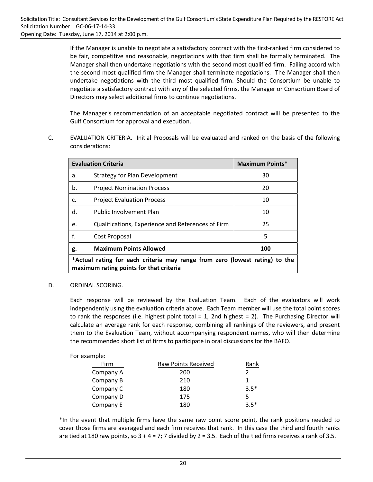If the Manager is unable to negotiate a satisfactory contract with the first‐ranked firm considered to be fair, competitive and reasonable, negotiations with that firm shall be formally terminated. The Manager shall then undertake negotiations with the second most qualified firm. Failing accord with the second most qualified firm the Manager shall terminate negotiations. The Manager shall then undertake negotiations with the third most qualified firm. Should the Consortium be unable to negotiate a satisfactory contract with any of the selected firms, the Manager or Consortium Board of Directors may select additional firms to continue negotiations.

The Manager's recommendation of an acceptable negotiated contract will be presented to the Gulf Consortium for approval and execution.

C. EVALUATION CRITERIA. Initial Proposals will be evaluated and ranked on the basis of the following considerations:

|    | <b>Evaluation Criteria</b>                                                                                             | <b>Maximum Points*</b> |
|----|------------------------------------------------------------------------------------------------------------------------|------------------------|
| a. | Strategy for Plan Development                                                                                          | 30                     |
| b. | <b>Project Nomination Process</b>                                                                                      | 20                     |
| c. | <b>Project Evaluation Process</b>                                                                                      | 10                     |
| d. | <b>Public Involvement Plan</b>                                                                                         | 10                     |
| e. | Qualifications, Experience and References of Firm                                                                      | 25                     |
| f. | Cost Proposal                                                                                                          | 5                      |
| g. | <b>Maximum Points Allowed</b>                                                                                          | 100                    |
|    | *Actual rating for each criteria may range from zero (lowest rating) to the<br>maximum rating points for that criteria |                        |

D. ORDINAL SCORING.

Each response will be reviewed by the Evaluation Team. Each of the evaluators will work independently using the evaluation criteria above. Each Team member will use the total point scores to rank the responses (i.e. highest point total  $= 1$ , 2nd highest  $= 2$ ). The Purchasing Director will calculate an average rank for each response, combining all rankings of the reviewers, and present them to the Evaluation Team, without accompanying respondent names, who will then determine the recommended short list of firms to participate in oral discussions for the BAFO.

| For example: |                     |        |
|--------------|---------------------|--------|
| Firm         | Raw Points Received | Rank   |
| Company A    | 200                 | 2      |
| Company B    | 210                 | 1      |
| Company C    | 180                 | $3.5*$ |
| Company D    | 175                 | 5      |
| Company E    | 180                 | $35*$  |

\*In the event that multiple firms have the same raw point score point, the rank positions needed to cover those firms are averaged and each firm receives that rank. In this case the third and fourth ranks are tied at 180 raw points, so  $3 + 4 = 7$ ; 7 divided by  $2 = 3.5$ . Each of the tied firms receives a rank of 3.5.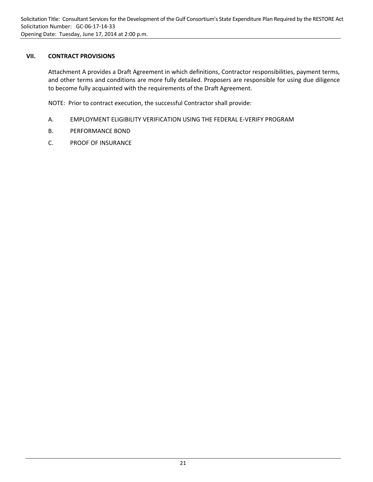### **VII. CONTRACT PROVISIONS**

Attachment A provides a Draft Agreement in which definitions, Contractor responsibilities, payment terms, and other terms and conditions are more fully detailed. Proposers are responsible for using due diligence to become fully acquainted with the requirements of the Draft Agreement.

NOTE: Prior to contract execution, the successful Contractor shall provide:

- A. EMPLOYMENT ELIGIBILITY VERIFICATION USING THE FEDERAL E‐VERIFY PROGRAM
- B. PERFORMANCE BOND
- C. PROOF OF INSURANCE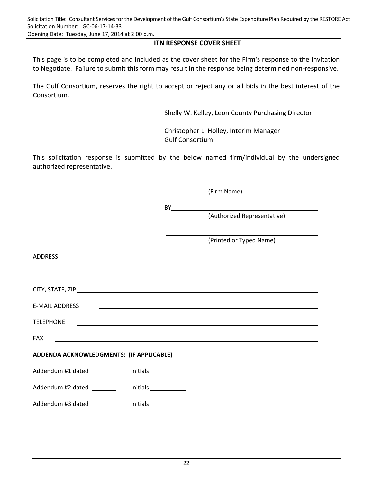Opening Date: Tuesday, June 17, 2014 at 2:00 p.m.

## **ITN RESPONSE COVER SHEET**

This page is to be completed and included as the cover sheet for the Firm's response to the Invitation to Negotiate. Failure to submit this form may result in the response being determined non‐responsive.

The Gulf Consortium, reserves the right to accept or reject any or all bids in the best interest of the Consortium.

Shelly W. Kelley, Leon County Purchasing Director

Christopher L. Holley, Interim Manager Gulf Consortium

This solicitation response is submitted by the below named firm/individual by the undersigned authorized representative.

|                                                    |  | (Firm Name)                                                                                                                                                                                                                          |
|----------------------------------------------------|--|--------------------------------------------------------------------------------------------------------------------------------------------------------------------------------------------------------------------------------------|
|                                                    |  |                                                                                                                                                                                                                                      |
|                                                    |  | (Authorized Representative)                                                                                                                                                                                                          |
|                                                    |  | (Printed or Typed Name)                                                                                                                                                                                                              |
| <b>ADDRESS</b>                                     |  | <u> 1989 - Johann Stoff, amerikansk politiker (d. 1989)</u>                                                                                                                                                                          |
|                                                    |  |                                                                                                                                                                                                                                      |
|                                                    |  |                                                                                                                                                                                                                                      |
| E-MAIL ADDRESS                                     |  | <u> 1989 - Johann John Stone, markin fan de Amerikaansk kommunister op de Amerikaansk kommunister op de Amerikaan</u>                                                                                                                |
| <b>TELEPHONE</b>                                   |  | <u> 1999 - Johann Stoff, deutscher Stoffen und der Stoffen und der Stoffen und der Stoffen und der Stoffen und der Stoffen und der Stoffen und der Stoffen und der Stoffen und der Stoffen und der Stoffen und der Stoffen und d</u> |
| <b>FAX</b>                                         |  | <u> 1989 - Johann Stoff, deutscher Stoff, der Stoff, der Stoff, der Stoff, der Stoff, der Stoff, der Stoff, der S</u>                                                                                                                |
| ADDENDA ACKNOWLEDGMENTS: (IF APPLICABLE)           |  |                                                                                                                                                                                                                                      |
| Addendum #1 dated ___________ Initials ___________ |  |                                                                                                                                                                                                                                      |
| Addendum #2 dated _________ Initials __________    |  |                                                                                                                                                                                                                                      |
| Addendum #3 dated _________                        |  |                                                                                                                                                                                                                                      |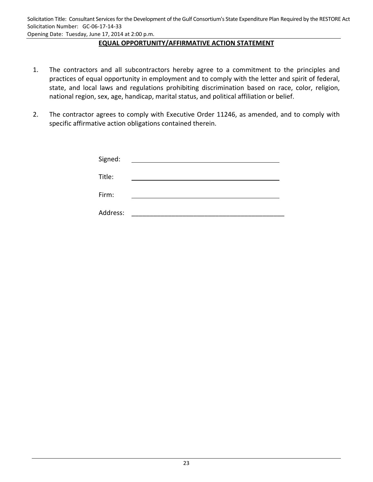Opening Date: Tuesday, June 17, 2014 at 2:00 p.m.

## **EQUAL OPPORTUNITY/AFFIRMATIVE ACTION STATEMENT**

- 1. The contractors and all subcontractors hereby agree to a commitment to the principles and practices of equal opportunity in employment and to comply with the letter and spirit of federal, state, and local laws and regulations prohibiting discrimination based on race, color, religion, national region, sex, age, handicap, marital status, and political affiliation or belief.
- 2. The contractor agrees to comply with Executive Order 11246, as amended, and to comply with specific affirmative action obligations contained therein.

| Signed:  |  |
|----------|--|
| Title:   |  |
| Firm:    |  |
| Address: |  |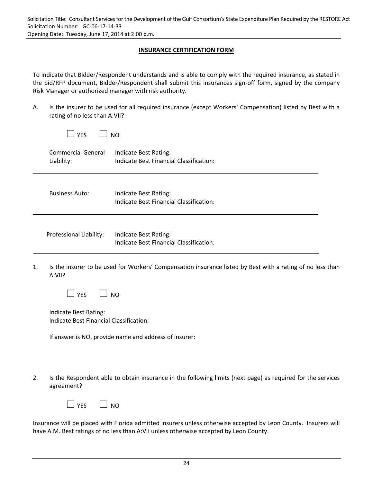## **INSURANCE CERTIFICATION FORM**

To indicate that Bidder/Respondent understands and is able to comply with the required insurance, as stated in the bid/RFP document, Bidder/Respondent shall submit this insurances sign-off form, signed by the company Risk Manager or authorized manager with risk authority.

A. Is the insurer to be used for all required insurance (except Workers' Compensation) listed by Best with a rating of no less than A:VII?

| rating of no less than A:VII?           |                                                                  |
|-----------------------------------------|------------------------------------------------------------------|
| $\Box$ YES                              | <b>NO</b>                                                        |
| <b>Commercial General</b><br>Liability: | Indicate Best Rating:<br>Indicate Best Financial Classification: |
| <b>Business Auto:</b>                   | Indicate Best Rating:<br>Indicate Best Financial Classification: |
| Professional Liability:                 | Indicate Best Rating:<br>Indicate Best Financial Classification: |
|                                         |                                                                  |

1. Is the insurer to be used for Workers' Compensation insurance listed by Best with a rating of no less than A:VII?

Indicate Best Rating: Indicate Best Financial Classification:

If answer is NO, provide name and address of insurer:

2. Is the Respondent able to obtain insurance in the following limits (next page) as required for the services agreement?

Insurance will be placed with Florida admitted insurers unless otherwise accepted by Leon County. Insurers will have A.M. Best ratings of no less than A:VII unless otherwise accepted by Leon County.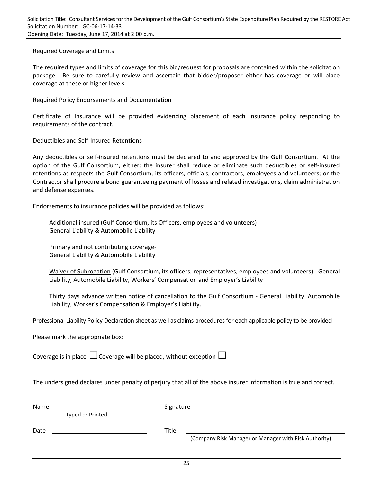#### Required Coverage and Limits

The required types and limits of coverage for this bid/request for proposals are contained within the solicitation package. Be sure to carefully review and ascertain that bidder/proposer either has coverage or will place coverage at these or higher levels.

#### Required Policy Endorsements and Documentation

Certificate of Insurance will be provided evidencing placement of each insurance policy responding to requirements of the contract.

Deductibles and Self‐Insured Retentions

Any deductibles or self‐insured retentions must be declared to and approved by the Gulf Consortium. At the option of the Gulf Consortium, either: the insurer shall reduce or eliminate such deductibles or self‐insured retentions as respects the Gulf Consortium, its officers, officials, contractors, employees and volunteers; or the Contractor shall procure a bond guaranteeing payment of losses and related investigations, claim administration and defense expenses.

Endorsements to insurance policies will be provided as follows:

Additional insured (Gulf Consortium, its Officers, employees and volunteers) ‐ General Liability & Automobile Liability

Primary and not contributing coverage‐ General Liability & Automobile Liability

Waiver of Subrogation (Gulf Consortium, its officers, representatives, employees and volunteers) ‐ General Liability, Automobile Liability, Workers' Compensation and Employer's Liability

Thirty days advance written notice of cancellation to the Gulf Consortium ‐ General Liability, Automobile Liability, Worker's Compensation & Employer's Liability.

Professional Liability Policy Declaration sheet as well as claims proceduresfor each applicable policy to be provided

Please mark the appropriate box:

Coverage is in place  $\Box$  Coverage will be placed, without exception  $\Box$ 

The undersigned declares under penalty of perjury that all of the above insurer information is true and correct.

| Name             | Signature                                                      |
|------------------|----------------------------------------------------------------|
| Typed or Printed |                                                                |
| Date             | Title<br>(Company Risk Manager or Manager with Risk Authority) |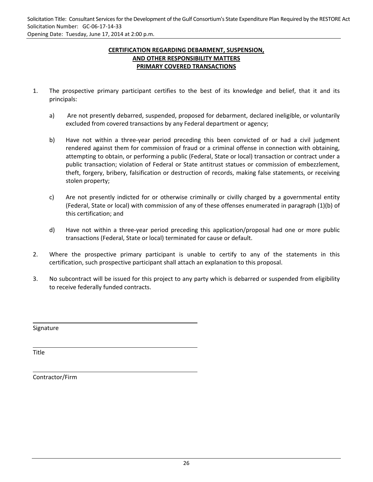**CERTIFICATION REGARDING DEBARMENT, SUSPENSION, AND OTHER RESPONSIBILITY MATTERS PRIMARY COVERED TRANSACTIONS**

- 1. The prospective primary participant certifies to the best of its knowledge and belief, that it and its principals:
	- a) Are not presently debarred, suspended, proposed for debarment, declared ineligible, or voluntarily excluded from covered transactions by any Federal department or agency;
	- b) Have not within a three-year period preceding this been convicted of or had a civil judgment rendered against them for commission of fraud or a criminal offense in connection with obtaining, attempting to obtain, or performing a public (Federal, State or local) transaction or contract under a public transaction; violation of Federal or State antitrust statues or commission of embezzlement, theft, forgery, bribery, falsification or destruction of records, making false statements, or receiving stolen property;
	- c) Are not presently indicted for or otherwise criminally or civilly charged by a governmental entity (Federal, State or local) with commission of any of these offenses enumerated in paragraph (1)(b) of this certification; and
	- d) Have not within a three‐year period preceding this application/proposal had one or more public transactions (Federal, State or local) terminated for cause or default.
- 2. Where the prospective primary participant is unable to certify to any of the statements in this certification, such prospective participant shall attach an explanation to this proposal.
- 3. No subcontract will be issued for this project to any party which is debarred or suspended from eligibility to receive federally funded contracts.

<u> 1980 - Andrea Andrew Maria (h. 1980).</u><br>2001 - Andrew Maria (h. 1980).

<u> 1989 - Andrea Branden, amerikan basar perangan perangan perangan perangan perangan perangan perangan perangan</u>

Signature

Title

Contractor/Firm

<u> 1980 - Johann Barn, mars eta bainar eta bainar eta baina eta baina eta baina eta baina eta baina eta baina e</u>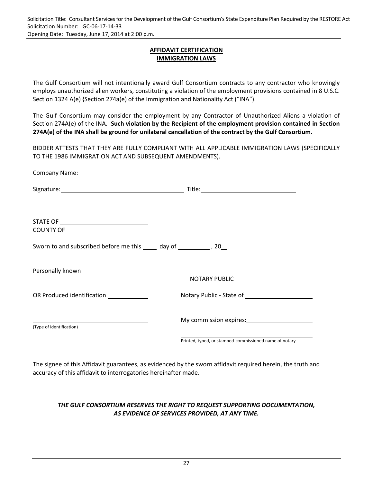Solicitation Title: Consultant Services for the Development of the Gulf Consortium's State Expenditure Plan Required by the RESTORE Act Solicitation Number: GC‐06‐17‐14‐33 Opening Date: Tuesday, June 17, 2014 at 2:00 p.m.

> **AFFIDAVIT CERTIFICATION IMMIGRATION LAWS**

The Gulf Consortium will not intentionally award Gulf Consortium contracts to any contractor who knowingly employs unauthorized alien workers, constituting a violation of the employment provisions contained in 8 U.S.C. Section 1324 A(e) {Section 274a(e) of the Immigration and Nationality Act ("INA").

The Gulf Consortium may consider the employment by any Contractor of Unauthorized Aliens a violation of Section 274A(e) of the INA. **Such violation by the Recipient of the employment provision contained in Section 274A(e) of the INA shall be ground for unilateral cancellation of the contract by the Gulf Consortium.**

BIDDER ATTESTS THAT THEY ARE FULLY COMPLIANT WITH ALL APPLICABLE IMMIGRATION LAWS (SPECIFICALLY TO THE 1986 IMMIGRATION ACT AND SUBSEQUENT AMENDMENTS).

|                                                                          | <b>Company Name:</b> Company Name: 2008. The Company Name: 2008. The Company Name: 2008. The Company Name: 2008. The Company Name: 2008. The Company Name: 2008. The Company Name: 2008. The Company Name: 2008. The Company Name: |
|--------------------------------------------------------------------------|------------------------------------------------------------------------------------------------------------------------------------------------------------------------------------------------------------------------------------|
|                                                                          |                                                                                                                                                                                                                                    |
| STATE OF _________________________________                               |                                                                                                                                                                                                                                    |
| Sworn to and subscribed before me this _____ day of _____________, 20__. |                                                                                                                                                                                                                                    |
| Personally known<br><u> 1989 - Jan Salaman III, masa ka</u>              | <u> 1989 - Johann Barbara, martin amerikan basal dan berasal dalam basal dalam basal dalam basal dalam basal dala</u><br><b>NOTARY PUBLIC</b>                                                                                      |
| OR Produced identification                                               |                                                                                                                                                                                                                                    |
| (Type of identification)                                                 |                                                                                                                                                                                                                                    |
|                                                                          | Printed, typed, or stamped commissioned name of notary                                                                                                                                                                             |

The signee of this Affidavit guarantees, as evidenced by the sworn affidavit required herein, the truth and accuracy of this affidavit to interrogatories hereinafter made.

## *THE GULF CONSORTIUM RESERVES THE RIGHT TO REQUEST SUPPORTING DOCUMENTATION, AS EVIDENCE OF SERVICES PROVIDED, AT ANY TIME.*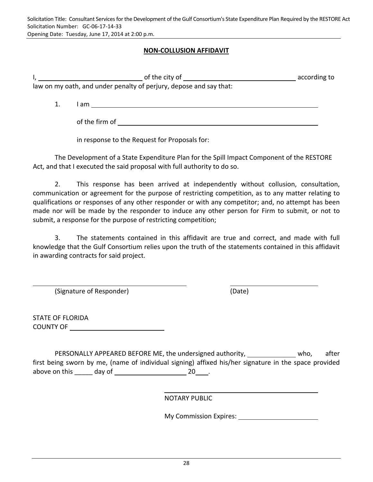## **NON‐COLLUSION AFFIDAVIT**

|                                                                    | of the city of | according to |  |  |
|--------------------------------------------------------------------|----------------|--------------|--|--|
| law on my oath, and under penalty of perjury, depose and say that: |                |              |  |  |
|                                                                    |                |              |  |  |
|                                                                    | am.            |              |  |  |

of the firm of

in response to the Request for Proposals for:

The Development of a State Expenditure Plan for the Spill Impact Component of the RESTORE Act, and that I executed the said proposal with full authority to do so.

2. This response has been arrived at independently without collusion, consultation, communication or agreement for the purpose of restricting competition, as to any matter relating to qualifications or responses of any other responder or with any competitor; and, no attempt has been made nor will be made by the responder to induce any other person for Firm to submit, or not to submit, a response for the purpose of restricting competition;

 3. The statements contained in this affidavit are true and correct, and made with full knowledge that the Gulf Consortium relies upon the truth of the statements contained in this affidavit in awarding contracts for said project.

<u> 1989 - Andrea Barbara, Amerikaansk politik (\* 1958)</u>

(Signature of Responder) (Date)

STATE OF FLORIDA COUNTY OF

PERSONALLY APPEARED BEFORE ME, the undersigned authority, \_\_\_\_\_\_\_\_\_\_\_\_\_\_ who, after first being sworn by me, (name of individual signing) affixed his/her signature in the space provided above on this  $\qquad \qquad \text{day of } \qquad \qquad 20 \qquad .$ 

NOTARY PUBLIC

<u> 1989 - John Stein, Amerikaansk politiker (\* 1989)</u>

My Commission Expires: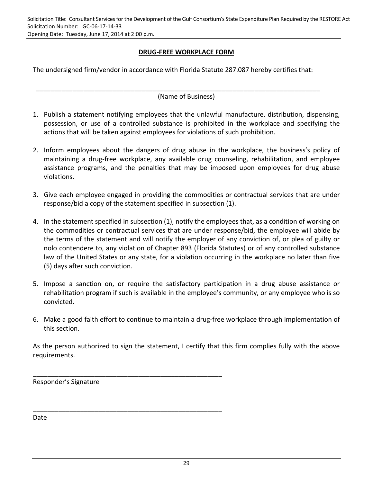**DRUG‐FREE WORKPLACE FORM**

The undersigned firm/vendor in accordance with Florida Statute 287.087 hereby certifies that:

\_\_\_\_\_\_\_\_\_\_\_\_\_\_\_\_\_\_\_\_\_\_\_\_\_\_\_\_\_\_\_\_\_\_\_\_\_\_\_\_\_\_\_\_\_\_\_\_\_\_\_\_\_\_\_\_\_\_\_\_\_\_\_\_\_\_\_\_\_\_\_\_\_\_\_\_\_\_

(Name of Business)

- 1. Publish a statement notifying employees that the unlawful manufacture, distribution, dispensing, possession, or use of a controlled substance is prohibited in the workplace and specifying the actions that will be taken against employees for violations of such prohibition.
- 2. Inform employees about the dangers of drug abuse in the workplace, the business's policy of maintaining a drug‐free workplace, any available drug counseling, rehabilitation, and employee assistance programs, and the penalties that may be imposed upon employees for drug abuse violations.
- 3. Give each employee engaged in providing the commodities or contractual services that are under response/bid a copy of the statement specified in subsection (1).
- 4. In the statement specified in subsection (1), notify the employees that, as a condition of working on the commodities or contractual services that are under response/bid, the employee will abide by the terms of the statement and will notify the employer of any conviction of, or plea of guilty or nolo contendere to, any violation of Chapter 893 (Florida Statutes) or of any controlled substance law of the United States or any state, for a violation occurring in the workplace no later than five (5) days after such conviction.
- 5. Impose a sanction on, or require the satisfactory participation in a drug abuse assistance or rehabilitation program if such is available in the employee's community, or any employee who is so convicted.
- 6. Make a good faith effort to continue to maintain a drug‐free workplace through implementation of this section.

As the person authorized to sign the statement, I certify that this firm complies fully with the above requirements.

Responder's Signature

\_\_\_\_\_\_\_\_\_\_\_\_\_\_\_\_\_\_\_\_\_\_\_\_\_\_\_\_\_\_\_\_\_\_\_\_\_\_\_\_\_\_\_\_\_\_\_\_\_\_\_\_

\_\_\_\_\_\_\_\_\_\_\_\_\_\_\_\_\_\_\_\_\_\_\_\_\_\_\_\_\_\_\_\_\_\_\_\_\_\_\_\_\_\_\_\_\_\_\_\_\_\_\_\_

Date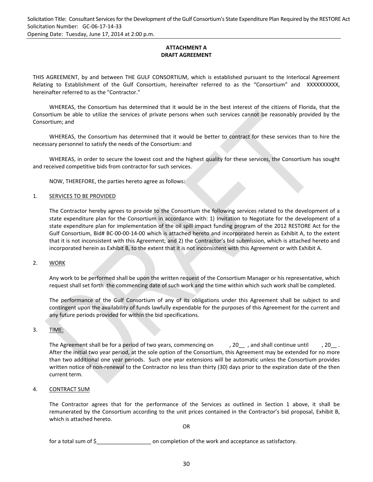**ATTACHMENT A DRAFT AGREEMENT**

THIS AGREEMENT, by and between THE GULF CONSORTIUM, which is established pursuant to the Interlocal Agreement Relating to Establishment of the Gulf Consortium, hereinafter referred to as the "Consortium" and XXXXXXXXXX, hereinafter referred to as the "Contractor."

WHEREAS, the Consortium has determined that it would be in the best interest of the citizens of Florida, that the Consortium be able to utilize the services of private persons when such services cannot be reasonably provided by the Consortium; and

WHEREAS, the Consortium has determined that it would be better to contract for these services than to hire the necessary personnel to satisfy the needs of the Consortium: and

WHEREAS, in order to secure the lowest cost and the highest quality for these services, the Consortium has sought and received competitive bids from contractor for such services.

NOW, THEREFORE, the parties hereto agree as follows:

#### 1. SERVICES TO BE PROVIDED

The Contractor hereby agrees to provide to the Consortium the following services related to the development of a state expenditure plan for the Consortium in accordance with: 1) Invitation to Negotiate for the development of a state expenditure plan for implementation of the oil spill impact funding program of the 2012 RESTORE Act for the Gulf Consortium, Bid# BC‐00‐00‐14‐00 which is attached hereto and incorporated herein as Exhibit A, to the extent that it is not inconsistent with this Agreement; and 2) the Contractor's bid submission, which is attached hereto and incorporated herein as Exhibit B, to the extent that it is not inconsistent with this Agreement or with Exhibit A.

#### 2. WORK

Any work to be performed shall be upon the written request of the Consortium Manager or his representative, which request shall set forth the commencing date of such work and the time within which such work shall be completed.

The performance of the Gulf Consortium of any of its obligations under this Agreement shall be subject to and contingent upon the availability of funds lawfully expendable for the purposes of this Agreement for the current and any future periods provided for within the bid specifications.

#### 3. TIME:

The Agreement shall be for a period of two years, commencing on  $\qquad$ , 20\_, and shall continue until  $\qquad$ , 20\_. After the initial two year period, at the sole option of the Consortium, this Agreement may be extended for no more than two additional one year periods. Such one year extensions will be automatic unless the Consortium provides written notice of non-renewal to the Contractor no less than thirty (30) days prior to the expiration date of the then current term.

#### 4. CONTRACT SUM

The Contractor agrees that for the performance of the Services as outlined in Section 1 above, it shall be remunerated by the Consortium according to the unit prices contained in the Contractor's bid proposal, Exhibit B, which is attached hereto.

OR

for a total sum of \$\_\_\_\_\_\_\_\_\_\_\_\_\_\_\_\_\_\_ on completion of the work and acceptance as satisfactory.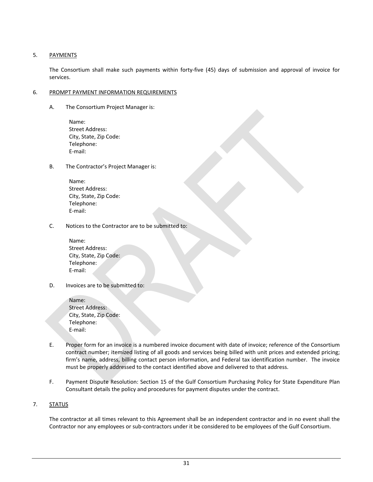#### 5. PAYMENTS

The Consortium shall make such payments within forty‐five (45) days of submission and approval of invoice for services.

#### 6. PROMPT PAYMENT INFORMATION REQUIREMENTS

A. The Consortium Project Manager is:

Name: Street Address: City, State, Zip Code: Telephone: E‐mail:

B. The Contractor's Project Manager is:

| Name:                  |
|------------------------|
| Street Address:        |
| City, State, Zip Code: |
| Telephone:             |
| E-mail:                |

C. Notices to the Contractor are to be submitted to:

Name: Street Address: City, State, Zip Code: Telephone: E‐mail:

D. Invoices are to be submitted to:

| Name:                  |  |
|------------------------|--|
| <b>Street Address:</b> |  |
| City, State, Zip Code: |  |
| Telephone:             |  |
| E-mail:                |  |

- E. Proper form for an invoice is a numbered invoice document with date of invoice; reference of the Consortium contract number; itemized listing of all goods and services being billed with unit prices and extended pricing; firm's name, address, billing contact person information, and Federal tax identification number. The invoice must be properly addressed to the contact identified above and delivered to that address.
- F. Payment Dispute Resolution: Section 15 of the Gulf Consortium Purchasing Policy for State Expenditure Plan Consultant details the policy and procedures for payment disputes under the contract.

#### 7. STATUS

The contractor at all times relevant to this Agreement shall be an independent contractor and in no event shall the Contractor nor any employees or sub‐contractors under it be considered to be employees of the Gulf Consortium.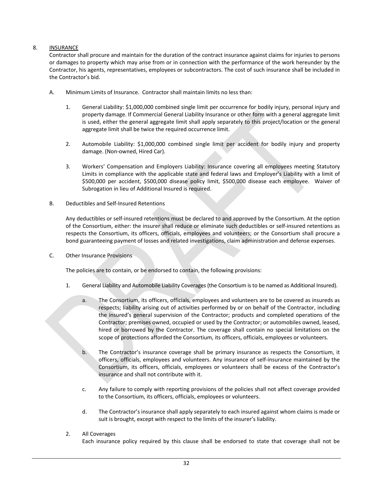#### 8. INSURANCE

Contractor shall procure and maintain for the duration of the contract insurance against claims for injuries to persons or damages to property which may arise from or in connection with the performance of the work hereunder by the Contractor, his agents, representatives, employees or subcontractors. The cost of such insurance shall be included in the Contractor's bid.

- A. Minimum Limits of Insurance. Contractor shall maintain limits no less than:
	- 1. General Liability: \$1,000,000 combined single limit per occurrence for bodily injury, personal injury and property damage. If Commercial General Liability Insurance or other form with a general aggregate limit is used, either the general aggregate limit shall apply separately to this project/location or the general aggregate limit shall be twice the required occurrence limit.
	- 2. Automobile Liability: \$1,000,000 combined single limit per accident for bodily injury and property damage. (Non‐owned, Hired Car).
	- 3. Workers' Compensation and Employers Liability: Insurance covering all employees meeting Statutory Limits in compliance with the applicable state and federal laws and Employer's Liability with a limit of \$500,000 per accident, \$500,000 disease policy limit, \$500,000 disease each employee. Waiver of Subrogation in lieu of Additional Insured is required.
- B. Deductibles and Self‐Insured Retentions

Any deductibles or self-insured retentions must be declared to and approved by the Consortium. At the option of the Consortium, either: the insurer shall reduce or eliminate such deductibles or self‐insured retentions as respects the Consortium, its officers, officials, employees and volunteers; or the Consortium shall procure a bond guaranteeing payment of losses and related investigations, claim administration and defense expenses.

C. Other Insurance Provisions

The policies are to contain, or be endorsed to contain, the following provisions:

- 1. General Liability and Automobile Liability Coverages(the Consortium is to be named as Additional Insured).
	- a. The Consortium, its officers, officials, employees and volunteers are to be covered as insureds as respects; liability arising out of activities performed by or on behalf of the Contractor, including the insured's general supervision of the Contractor; products and completed operations of the Contractor; premises owned, occupied or used by the Contractor; or automobiles owned, leased, hired or borrowed by the Contractor. The coverage shall contain no special limitations on the scope of protections afforded the Consortium, its officers, officials, employees or volunteers.
	- b. The Contractor's insurance coverage shall be primary insurance as respects the Consortium, it officers, officials, employees and volunteers. Any insurance of self‐insurance maintained by the Consortium, its officers, officials, employees or volunteers shall be excess of the Contractor's insurance and shall not contribute with it.
	- c. Any failure to comply with reporting provisions of the policies shall not affect coverage provided to the Consortium, its officers, officials, employees or volunteers.
	- d. The Contractor's insurance shall apply separately to each insured against whom claims is made or suit is brought, except with respect to the limits of the insurer's liability.
- 2. All Coverages

Each insurance policy required by this clause shall be endorsed to state that coverage shall not be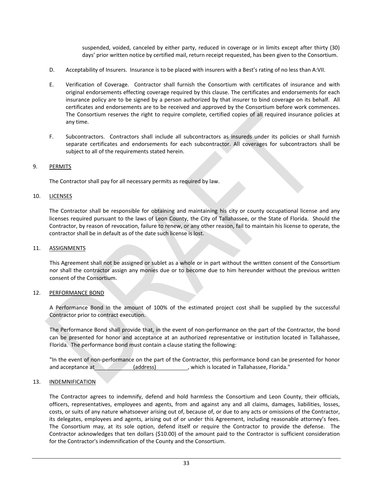suspended, voided, canceled by either party, reduced in coverage or in limits except after thirty (30) days' prior written notice by certified mail, return receipt requested, has been given to the Consortium.

- D. Acceptability of Insurers. Insurance is to be placed with insurers with a Best's rating of no less than A:VII.
- E. Verification of Coverage. Contractor shall furnish the Consortium with certificates of insurance and with original endorsements effecting coverage required by this clause. The certificates and endorsements for each insurance policy are to be signed by a person authorized by that insurer to bind coverage on its behalf. All certificates and endorsements are to be received and approved by the Consortium before work commences. The Consortium reserves the right to require complete, certified copies of all required insurance policies at any time.
- F. Subcontractors. Contractors shall include all subcontractors as insureds under its policies or shall furnish separate certificates and endorsements for each subcontractor. All coverages for subcontractors shall be subject to all of the requirements stated herein.

#### 9. PERMITS

The Contractor shall pay for all necessary permits as required by law.

#### 10. LICENSES

The Contractor shall be responsible for obtaining and maintaining his city or county occupational license and any licenses required pursuant to the laws of Leon County, the City of Tallahassee, or the State of Florida. Should the Contractor, by reason of revocation, failure to renew, or any other reason, fail to maintain his license to operate, the contractor shall be in default as of the date such license is lost.

#### 11. ASSIGNMENTS

This Agreement shall not be assigned or sublet as a whole or in part without the written consent of the Consortium nor shall the contractor assign any monies due or to become due to him hereunder without the previous written consent of the Consortium.

#### 12. PERFORMANCE BOND

A Performance Bond in the amount of 100% of the estimated project cost shall be supplied by the successful Contractor prior to contract execution.

The Performance Bond shall provide that, in the event of non‐performance on the part of the Contractor, the bond can be presented for honor and acceptance at an authorized representative or institution located in Tallahassee, Florida. The performance bond must contain a clause stating the following:

"In the event of non‐performance on the part of the Contractor, this performance bond can be presented for honor and acceptance at (address) (address) which is located in Tallahassee, Florida."

#### 13. INDEMNIFICATION

The Contractor agrees to indemnify, defend and hold harmless the Consortium and Leon County, their officials, officers, representatives, employees and agents, from and against any and all claims, damages, liabilities, losses, costs, or suits of any nature whatsoever arising out of, because of, or due to any acts or omissions of the Contractor, its delegates, employees and agents, arising out of or under this Agreement, including reasonable attorney's fees. The Consortium may, at its sole option, defend itself or require the Contractor to provide the defense. The Contractor acknowledges that ten dollars (\$10.00) of the amount paid to the Contractor is sufficient consideration for the Contractor's indemnification of the County and the Consortium.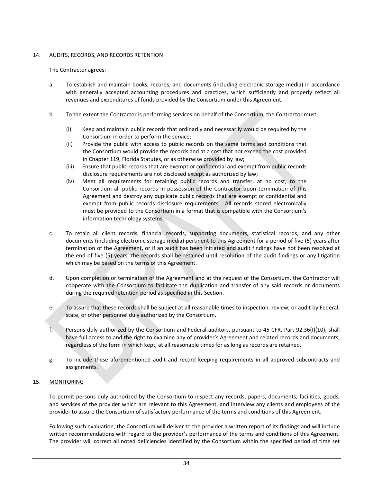#### 14. AUDITS, RECORDS, AND RECORDS RETENTION

#### The Contractor agrees:

- a. To establish and maintain books, records, and documents (including electronic storage media) in accordance with generally accepted accounting procedures and practices, which sufficiently and properly reflect all revenues and expenditures of funds provided by the Consortium under this Agreement.
- b. To the extent the Contractor is performing services on behalf of the Consortium, the Contractor must:
	- (i) Keep and maintain public records that ordinarily and necessarily would be required by the Consortium in order to perform the service;
	- (ii) Provide the public with access to public records on the same terms and conditions that the Consortium would provide the records and at a cost that not exceed the cost provided in Chapter 119, Florida Statutes, or as otherwise provided by law;
	- (iii) Ensure that public records that are exempt or confidential and exempt from public records disclosure requirements are not disclosed except as authorized by law;
	- (iv) Meet all requirements for retaining public records and transfer, at no cost, to the Consortium all public records in possession of the Contractor upon termination of this Agreement and destroy any duplicate public records that are exempt or confidential and exempt from public records disclosure requirements. All records stored electronically must be provided to the Consortium in a format that is compatible with the Consortium's information technology systems.
- c. To retain all client records, financial records, supporting documents, statistical records, and any other documents (including electronic storage media) pertinent to this Agreement for a period of five (5) years after termination of the Agreement, or if an audit has been initiated and audit findings have not been resolved at the end of five (5) years, the records shall be retained until resolution of the audit findings or any litigation which may be based on the terms of this Agreement.
- d. Upon completion or termination of the Agreement and at the request of the Consortium, the Contractor will cooperate with the Consortium to facilitate the duplication and transfer of any said records or documents during the required retention period as specified in this Section.
- e. To assure that these records shall be subject at all reasonable times to inspection, review, or audit by Federal, state, or other personnel duly authorized by the Consortium.
- f. Persons duly authorized by the Consortium and Federal auditors, pursuant to 45 CFR, Part 92.36(I)(10), shall have full access to and the right to examine any of provider's Agreement and related records and documents, regardless of the form in which kept, at all reasonable times for as long as records are retained.
- g. To include these aforementioned audit and record keeping requirements in all approved subcontracts and assignments.

#### 15. MONITORING

To permit persons duly authorized by the Consortium to inspect any records, papers, documents, facilities, goods, and services of the provider which are relevant to this Agreement, and interview any clients and employees of the provider to assure the Consortium of satisfactory performance of the terms and conditions of this Agreement.

Following such evaluation, the Consortium will deliver to the provider a written report of its findings and will include written recommendations with regard to the provider's performance of the terms and conditions of this Agreement. The provider will correct all noted deficiencies identified by the Consortium within the specified period of time set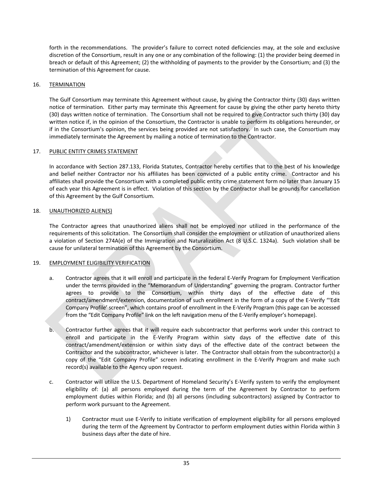forth in the recommendations. The provider's failure to correct noted deficiencies may, at the sole and exclusive discretion of the Consortium, result in any one or any combination of the following: (1) the provider being deemed in breach or default of this Agreement; (2) the withholding of payments to the provider by the Consortium; and (3) the termination of this Agreement for cause.

#### 16. TERMINATION

The Gulf Consortium may terminate this Agreement without cause, by giving the Contractor thirty (30) days written notice of termination. Either party may terminate this Agreement for cause by giving the other party hereto thirty (30) days written notice of termination. The Consortium shall not be required to give Contractor such thirty (30) day written notice if, in the opinion of the Consortium, the Contractor is unable to perform its obligations hereunder, or if in the Consortium's opinion, the services being provided are not satisfactory. In such case, the Consortium may immediately terminate the Agreement by mailing a notice of termination to the Contractor.

#### 17. PUBLIC ENTITY CRIMES STATEMENT

In accordance with Section 287.133, Florida Statutes, Contractor hereby certifies that to the best of his knowledge and belief neither Contractor nor his affiliates has been convicted of a public entity crime. Contractor and his affiliates shall provide the Consortium with a completed public entity crime statement form no later than January 15 of each year this Agreement is in effect. Violation of this section by the Contractor shall be grounds for cancellation of this Agreement by the Gulf Consortium.

#### 18. UNAUTHORIZED ALIEN(S)

The Contractor agrees that unauthorized aliens shall not be employed nor utilized in the performance of the requirements of this solicitation. The Consortium shall consider the employment or utilization of unauthorized aliens a violation of Section 274A(e) of the Immigration and Naturalization Act (8 U.S.C. 1324a). Such violation shall be cause for unilateral termination of this Agreement by the Consortium.

#### 19. EMPLOYMENT ELIGIBILITY VERIFICATION

- a. Contractor agrees that it will enroll and participate in the federal E‐Verify Program for Employment Verification under the terms provided in the "Memorandum of Understanding" governing the program. Contractor further agrees to provide to the Consortium, within thirty days of the effective date of this contract/amendment/extension, documentation of such enrollment in the form of a copy of the E‐Verify "'Edit Company Profile' screen", which contains proof of enrollment in the E‐Verify Program (this page can be accessed from the "Edit Company Profile" link on the left navigation menu of the E‐Verify employer's homepage).
- b. Contractor further agrees that it will require each subcontractor that performs work under this contract to enroll and participate in the E-Verify Program within sixty days of the effective date of this contract/amendment/extension or within sixty days of the effective date of the contract between the Contractor and the subcontractor, whichever is later. The Contractor shall obtain from the subcontractor(s) a copy of the "Edit Company Profile" screen indicating enrollment in the E‐Verify Program and make such record(s) available to the Agency upon request.
- c. Contractor will utilize the U.S. Department of Homeland Security's E‐Verify system to verify the employment eligibility of: (a) all persons employed during the term of the Agreement by Contractor to perform employment duties within Florida; and (b) all persons (including subcontractors) assigned by Contractor to perform work pursuant to the Agreement.
	- 1) Contractor must use E‐Verify to initiate verification of employment eligibility for all persons employed during the term of the Agreement by Contractor to perform employment duties within Florida within 3 business days after the date of hire.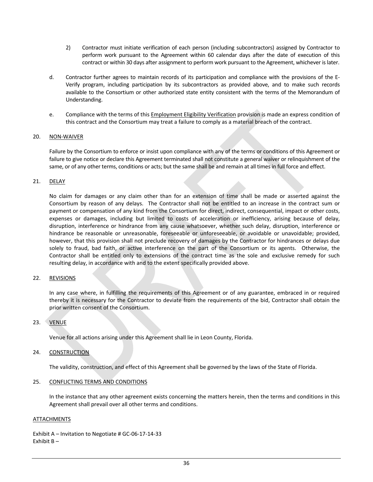- 2) Contractor must initiate verification of each person (including subcontractors) assigned by Contractor to perform work pursuant to the Agreement within 60 calendar days after the date of execution of this contract or within 30 days after assignment to perform work pursuant to the Agreement, whichever is later.
- d. Contractor further agrees to maintain records of its participation and compliance with the provisions of the E‐ Verify program, including participation by its subcontractors as provided above, and to make such records available to the Consortium or other authorized state entity consistent with the terms of the Memorandum of Understanding.
- e. Compliance with the terms of this Employment Eligibility Verification provision is made an express condition of this contract and the Consortium may treat a failure to comply as a material breach of the contract.

#### 20. NON‐WAIVER

Failure by the Consortium to enforce or insist upon compliance with any of the terms or conditions of this Agreement or failure to give notice or declare this Agreement terminated shall not constitute a general waiver or relinquishment of the same, or of any other terms, conditions or acts; but the same shall be and remain at all times in full force and effect.

#### 21. DELAY

No claim for damages or any claim other than for an extension of time shall be made or asserted against the Consortium by reason of any delays. The Contractor shall not be entitled to an increase in the contract sum or payment or compensation of any kind from the Consortium for direct, indirect, consequential, impact or other costs, expenses or damages, including but limited to costs of acceleration or inefficiency, arising because of delay, disruption, interference or hindrance from any cause whatsoever, whether such delay, disruption, interference or hindrance be reasonable or unreasonable, foreseeable or unforeseeable, or avoidable or unavoidable; provided, however, that this provision shall not preclude recovery of damages by the Contractor for hindrances or delays due solely to fraud, bad faith, or active interference on the part of the Consortium or its agents. Otherwise, the Contractor shall be entitled only to extensions of the contract time as the sole and exclusive remedy for such resulting delay, in accordance with and to the extent specifically provided above.

#### 22. REVISIONS

In any case where, in fulfilling the requirements of this Agreement or of any guarantee, embraced in or required thereby it is necessary for the Contractor to deviate from the requirements of the bid, Contractor shall obtain the prior written consent of the Consortium.

#### 23. VENUE

Venue for all actions arising under this Agreement shall lie in Leon County, Florida.

#### 24. CONSTRUCTION

The validity, construction, and effect of this Agreement shall be governed by the laws of the State of Florida.

#### 25. CONFLICTING TERMS AND CONDITIONS

In the instance that any other agreement exists concerning the matters herein, then the terms and conditions in this Agreement shall prevail over all other terms and conditions.

#### ATTACHMENTS

Exhibit A – Invitation to Negotiate # GC‐06‐17‐14‐33 Exhibit B –